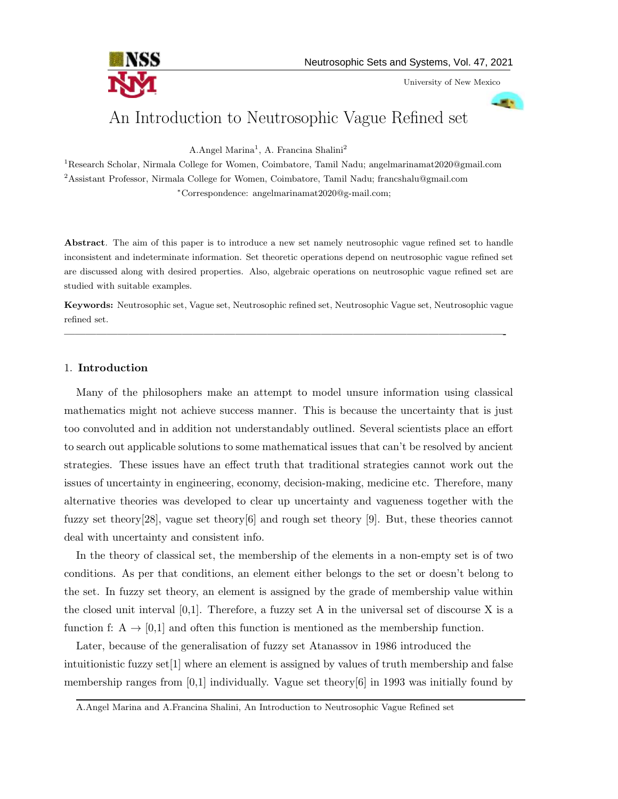

University of New Mexico

# An Introduction to Neutrosophic Vague Refined set

A.Angel Marina<sup>1</sup>, A. Francina Shalini<sup>2</sup>

<sup>1</sup>Research Scholar, Nirmala College for Women, Coimbatore, Tamil Nadu; angelmarinamat2020@gmail.com  $2$ Assistant Professor, Nirmala College for Women, Coimbatore, Tamil Nadu; francshalu@gmail.com <sup>∗</sup>Correspondence: angelmarinamat2020@g-mail.com;

Abstract. The aim of this paper is to introduce a new set namely neutrosophic vague refined set to handle inconsistent and indeterminate information. Set theoretic operations depend on neutrosophic vague refined set are discussed along with desired properties. Also, algebraic operations on neutrosophic vague refined set are studied with suitable examples.

Keywords: Neutrosophic set, Vague set, Neutrosophic refined set, Neutrosophic Vague set, Neutrosophic vague refined set.

—————————————————————————————————————————-

#### 1. Introduction

Many of the philosophers make an attempt to model unsure information using classical mathematics might not achieve success manner. This is because the uncertainty that is just too convoluted and in addition not understandably outlined. Several scientists place an effort to search out applicable solutions to some mathematical issues that can't be resolved by ancient strategies. These issues have an effect truth that traditional strategies cannot work out the issues of uncertainty in engineering, economy, decision-making, medicine etc. Therefore, many alternative theories was developed to clear up uncertainty and vagueness together with the fuzzy set theory[28], vague set theory[6] and rough set theory [9]. But, these theories cannot deal with uncertainty and consistent info.

In the theory of classical set, the membership of the elements in a non-empty set is of two conditions. As per that conditions, an element either belongs to the set or doesn't belong to the set. In fuzzy set theory, an element is assigned by the grade of membership value within the closed unit interval  $[0,1]$ . Therefore, a fuzzy set A in the universal set of discourse X is a function f:  $A \rightarrow [0,1]$  and often this function is mentioned as the membership function.

Later, because of the generalisation of fuzzy set Atanassov in 1986 introduced the intuitionistic fuzzy set  $[1]$  where an element is assigned by values of truth membership and false membership ranges from [0,1] individually. Vague set theory[6] in 1993 was initially found by

A.Angel Marina and A.Francina Shalini, An Introduction to Neutrosophic Vague Refined set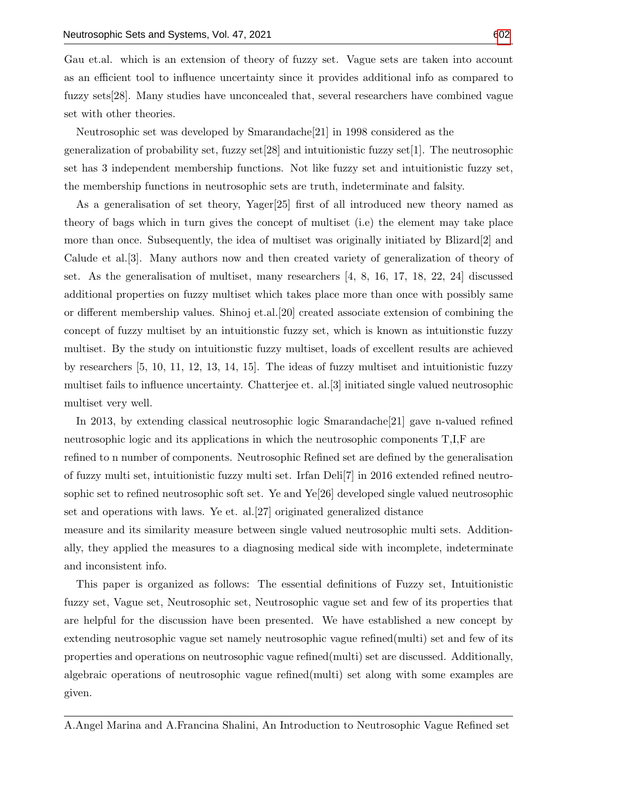Gau et.al. which is an extension of theory of fuzzy set. Vague sets are taken into account as an efficient tool to influence uncertainty since it provides additional info as compared to fuzzy sets[28]. Many studies have unconcealed that, several researchers have combined vague set with other theories.

Neutrosophic set was developed by Smarandache[21] in 1998 considered as the generalization of probability set, fuzzy set[28] and intuitionistic fuzzy set[1]. The neutrosophic set has 3 independent membership functions. Not like fuzzy set and intuitionistic fuzzy set, the membership functions in neutrosophic sets are truth, indeterminate and falsity.

As a generalisation of set theory, Yager[25] first of all introduced new theory named as theory of bags which in turn gives the concept of multiset (i.e) the element may take place more than once. Subsequently, the idea of multiset was originally initiated by Blizard[2] and Calude et al.[3]. Many authors now and then created variety of generalization of theory of set. As the generalisation of multiset, many researchers [4, 8, 16, 17, 18, 22, 24] discussed additional properties on fuzzy multiset which takes place more than once with possibly same or different membership values. Shinoj et.al.[20] created associate extension of combining the concept of fuzzy multiset by an intuitionstic fuzzy set, which is known as intuitionstic fuzzy multiset. By the study on intuitionstic fuzzy multiset, loads of excellent results are achieved by researchers [5, 10, 11, 12, 13, 14, 15]. The ideas of fuzzy multiset and intuitionistic fuzzy multiset fails to influence uncertainty. Chatterjee et. al.[3] initiated single valued neutrosophic multiset very well.

In 2013, by extending classical neutrosophic logic Smarandache[21] gave n-valued refined neutrosophic logic and its applications in which the neutrosophic components T,I,F are refined to n number of components. Neutrosophic Refined set are defined by the generalisation of fuzzy multi set, intuitionistic fuzzy multi set. Irfan Deli[7] in 2016 extended refined neutrosophic set to refined neutrosophic soft set. Ye and Ye[26] developed single valued neutrosophic set and operations with laws. Ye et. al.[27] originated generalized distance measure and its similarity measure between single valued neutrosophic multi sets. Addition-

ally, they applied the measures to a diagnosing medical side with incomplete, indeterminate and inconsistent info.

This paper is organized as follows: The essential definitions of Fuzzy set, Intuitionistic fuzzy set, Vague set, Neutrosophic set, Neutrosophic vague set and few of its properties that are helpful for the discussion have been presented. We have established a new concept by extending neutrosophic vague set namely neutrosophic vague refined(multi) set and few of its properties and operations on neutrosophic vague refined(multi) set are discussed. Additionally, algebraic operations of neutrosophic vague refined(multi) set along with some examples are given.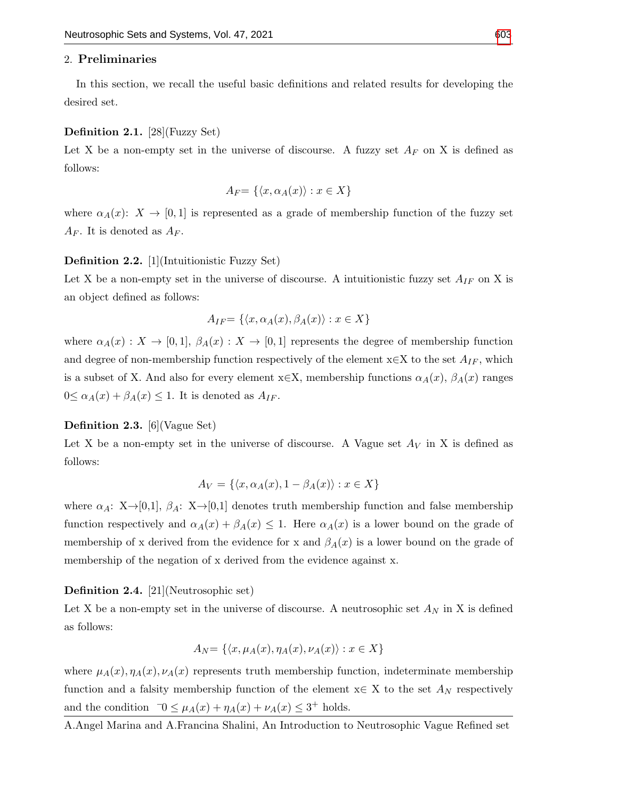#### 2. Preliminaries

In this section, we recall the useful basic definitions and related results for developing the desired set.

#### Definition 2.1. [28](Fuzzy Set)

Let X be a non-empty set in the universe of discourse. A fuzzy set  $A_F$  on X is defined as follows:

$$
A_F = \{ \langle x, \alpha_A(x) \rangle : x \in X \}
$$

where  $\alpha_A(x)$ :  $X \to [0,1]$  is represented as a grade of membership function of the fuzzy set  $A_F$ . It is denoted as  $A_F$ .

#### Definition 2.2. [1](Intuitionistic Fuzzy Set)

Let X be a non-empty set in the universe of discourse. A intuitionistic fuzzy set  $A_{IF}$  on X is an object defined as follows:

$$
A_{IF} = \{ \langle x, \alpha_A(x), \beta_A(x) \rangle : x \in X \}
$$

where  $\alpha_A(x): X \to [0,1], \beta_A(x): X \to [0,1]$  represents the degree of membership function and degree of non-membership function respectively of the element  $x \in X$  to the set  $A_{IF}$ , which is a subset of X. And also for every element  $x \in X$ , membership functions  $\alpha_A(x)$ ,  $\beta_A(x)$  ranges  $0 \leq \alpha_A(x) + \beta_A(x) \leq 1$ . It is denoted as  $A_{IF}$ .

#### Definition 2.3. [6](Vague Set)

Let X be a non-empty set in the universe of discourse. A Vague set  $A_V$  in X is defined as follows:

$$
A_V = \{ \langle x, \alpha_A(x), 1 - \beta_A(x) \rangle : x \in X \}
$$

where  $\alpha_A: X\rightarrow [0,1], \beta_A: X\rightarrow [0,1]$  denotes truth membership function and false membership function respectively and  $\alpha_A(x) + \beta_A(x) \leq 1$ . Here  $\alpha_A(x)$  is a lower bound on the grade of membership of x derived from the evidence for x and  $\beta_A(x)$  is a lower bound on the grade of membership of the negation of x derived from the evidence against x.

#### Definition 2.4. [21](Neutrosophic set)

Let X be a non-empty set in the universe of discourse. A neutrosophic set  $A_N$  in X is defined as follows:

$$
A_N = \{ \langle x, \mu_A(x), \eta_A(x), \nu_A(x) \rangle : x \in X \}
$$

where  $\mu_A(x), \eta_A(x), \nu_A(x)$  represents truth membership function, indeterminate membership function and a falsity membership function of the element  $x \in X$  to the set  $A_N$  respectively and the condition  $\overline{0} \leq \mu_A(x) + \eta_A(x) + \nu_A(x) \leq 3^+$  holds.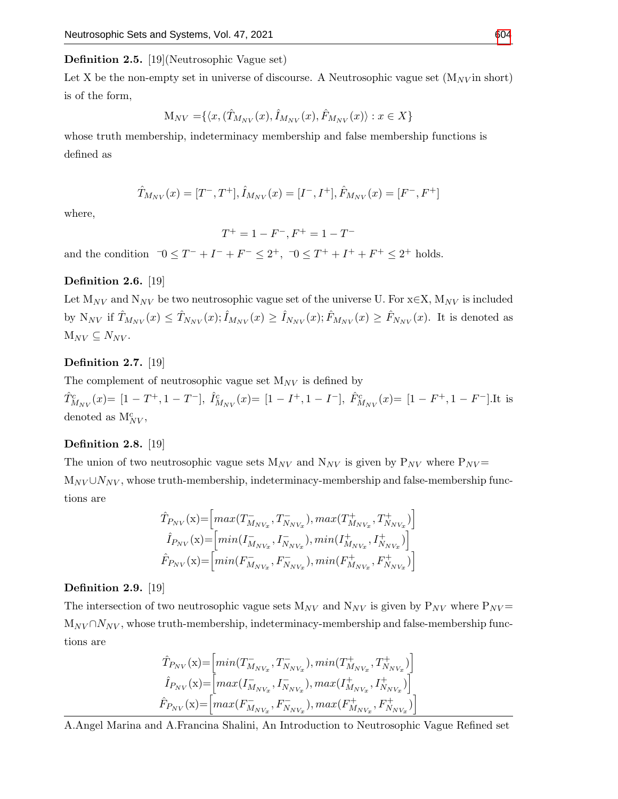#### Definition 2.5. [19](Neutrosophic Vague set)

Let X be the non-empty set in universe of discourse. A Neutrosophic vague set  $(M_{\text{NV}})$  in short) is of the form,

$$
M_{NV} = \{ \langle x, (\hat{T}_{M_{NV}}(x), \hat{I}_{M_{NV}}(x), \hat{F}_{M_{NV}}(x) \rangle : x \in X \}
$$

whose truth membership, indeterminacy membership and false membership functions is defined as

$$
\hat{T}_{M_{NV}}(x) = [T^-, T^+], \hat{I}_{M_{NV}}(x) = [I^-, I^+], \hat{F}_{M_{NV}}(x) = [F^-, F^+]
$$

where,

$$
T^+ = 1 - F^-, \\ F^+ = 1 - T^-
$$

and the condition  $\exists 0 \leq T^- + I^- + F^- \leq 2^+, \exists 0 \leq T^+ + I^+ + F^+ \leq 2^+$  holds.

## Definition 2.6. [19]

Let  $M_{NV}$  and  $N_{NV}$  be two neutrosophic vague set of the universe U. For  $x \in X$ ,  $M_{NV}$  is included by  $N_{NV}$  if  $\hat{T}_{M_{NV}}(x) \leq \hat{T}_{N_{NV}}(x); \hat{I}_{M_{NV}}(x) \geq \hat{I}_{N_{NV}}(x); \hat{F}_{M_{NV}}(x) \geq \hat{F}_{N_{NV}}(x)$ . It is denoted as  $M_{NV} \subseteq N_{NV}$ .

## Definition 2.7. [19]

The complement of neutrosophic vague set  $M_{NV}$  is defined by

 $\hat{T}^c_{M_{NV}}(x)$  =  $[1 - T^+, 1 - T^-], \hat{I}^c_{M_{NV}}(x)$  =  $[1 - I^+, 1 - I^-], \hat{F}^c_{M_{NV}}(x)$  =  $[1 - F^+, 1 - F^-].$  It is denoted as  $M_{NV}^c$ ,

## Definition 2.8. [19]

The union of two neutrosophic vague sets  $M_{NV}$  and  $N_{NV}$  is given by  $P_{NV}$  where  $P_{NV}$  $M_{NV} \cup N_{NV}$ , whose truth-membership, indeterminacy-membership and false-membership functions are

$$
\hat{T}_{P_{NV}}(\mathbf{x}) = \left[ max(T_{M_{NV_x}}^-, T_{N_{NV_x}}^-,), max(T_{M_{NV_x}}^+, T_{N_{NV_x}}^+) \right]
$$
\n
$$
\hat{I}_{P_{NV}}(\mathbf{x}) = \left[ min(I_{M_{NV_x}}^-, I_{N_{NV_x}}^-,), min(I_{M_{NV_x}}^+, I_{N_{NV_x}}^+) \right]
$$
\n
$$
\hat{F}_{P_{NV}}(\mathbf{x}) = \left[ min(F_{M_{NV_x}}^-, F_{N_{NV_x}}^-), min(F_{M_{NV_x}}^+, F_{N_{NV_x}}^+) \right]
$$

#### Definition 2.9. [19]

The intersection of two neutrosophic vague sets  $M_{NV}$  and  $N_{NV}$  is given by  $P_{NV}$  where  $P_{NV}$  $M_{NV} \cap N_{NV}$ , whose truth-membership, indeterminacy-membership and false-membership functions are

$$
\hat{T}_{P_{NV}}(\mathbf{x}) = \left[ min(T_{M_{NV_x}}^-, T_{N_{NV_x}}^-,) min(T_{M_{NV_x}}^+, T_{N_{NV_x}}^+) \right]
$$
\n
$$
\hat{I}_{P_{NV}}(\mathbf{x}) = \left[ max(T_{M_{NV_x}}^-, I_{N_{NV_x}}^-,) max(T_{M_{NV_x}}^+, I_{N_{NV_x}}^+) \right]
$$
\n
$$
\hat{F}_{P_{NV}}(\mathbf{x}) = \left[ max(F_{M_{NV_x}}^-, F_{N_{NV_x}}^-,) max(F_{M_{NV_x}}^+, F_{N_{NV_x}}^+) \right]
$$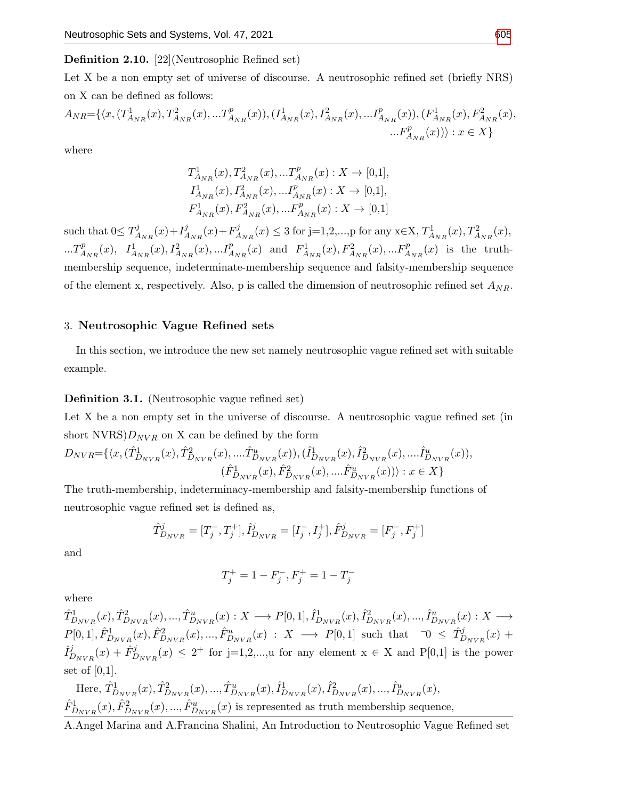#### Definition 2.10. [22](Neutrosophic Refined set)

Let X be a non empty set of universe of discourse. A neutrosophic refined set (briefly NRS) on X can be defined as follows:

$$
A_{NR} = \{ \langle x, (T_{A_{NR}}^1(x), T_{A_{NR}}^2(x), ... T_{A_{NR}}^p(x)), (I_{A_{NR}}^1(x), I_{A_{NR}}^2(x), ... I_{A_{NR}}^p(x)), (F_{A_{NR}}^1(x), F_{A_{NR}}^2(x), ... F_{A_{NR}}^p(x)) \rangle : x \in X \}
$$

where

$$
\begin{aligned} &T^1_{A_{NR}}(x), T^2_{A_{NR}}(x),...T^p_{A_{NR}}(x): X\to [0,1], \\ &I^1_{A_{NR}}(x), I^2_{A_{NR}}(x),...I^p_{A_{NR}}(x): X\to [0,1], \\ &F^1_{A_{NR}}(x), F^2_{A_{NR}}(x),...F^p_{A_{NR}}(x): X\to [0,1] \end{aligned}
$$

such that  $0 \leq T_A^j$  $A_{NR}^{j}(x) + I_{A}^{j}$  $A_{NR}(x) + F_A^j$  $A_{N_R}(x) \leq 3$  for j=1,2,...,p for any x∈X,  $T_{A_{NR}}^1(x)$ ,  $T_{A_{NR}}^2(x)$ ,  $...T_{A_{NR}}^p(x), I_{A_{NR}}^1(x), I_{A_{NR}}^2(x),...I_{A_{NR}}^p(x)$  and  $F_{A_{NR}}^1(x), F_{A_{NR}}^2(x),...F_{A_{NR}}^p(x)$  is the truthmembership sequence, indeterminate-membership sequence and falsity-membership sequence of the element x, respectively. Also, p is called the dimension of neutrosophic refined set  $A_{NR}$ .

#### 3. Neutrosophic Vague Refined sets

In this section, we introduce the new set namely neutrosophic vague refined set with suitable example.

#### Definition 3.1. (Neutrosophic vague refined set)

Let X be a non empty set in the universe of discourse. A neutrosophic vague refined set (in short  $NVRS$ ) $D_{NVR}$  on X can be defined by the form

$$
D_{NVR} = \{ \langle x, (\hat{T}_{D_{NVR}}^1(x), \hat{T}_{D_{NVR}}^2(x), \dots, \hat{T}_{D_{NVR}}^u(x)), (\hat{I}_{D_{NVR}}^1(x), \hat{I}_{D_{NVR}}^2(x), \dots, \hat{I}_{D_{NVR}}^u(x)), \\ (\hat{F}_{D_{NVR}}^1(x), \hat{F}_{D_{NVR}}^2(x), \dots, \hat{F}_{D_{NVR}}^u(x)) \rangle : x \in X \}
$$

The truth-membership, indeterminacy-membership and falsity-membership functions of neutrosophic vague refined set is defined as,

$$
\hat{T}_{D_{NVR}}^j = [T_j^-, T_j^+], \hat{I}_{D_{NVR}}^j = [I_j^-, I_j^+], \hat{F}_{D_{NVR}}^j = [F_j^-, F_j^+]
$$

and

$$
T_j^+ = 1 - F_j^-, F_j^+ = 1 - T_j^-
$$

where

 $\hat{T}_{D_{NVR}}^1(x), \hat{T}_{D_{NVR}}^2(x), ..., \hat{T}_{D_{NVR}}^u(x) : X \longrightarrow P[0, 1], \hat{I}_{D_{NVR}}^1(x), \hat{I}_{D_{NVR}}^2(x), ..., \hat{I}_{D_{NVR}}^u(x) : X \longrightarrow Y[0, 1], \hat{I}_{D_{NVR}}^1(x), \hat{I}_{D_{NVR}}^2(x)$  $P[0,1], \hat{F}_{D_{NVR}}^1(x), \hat{F}_{D_{NVR}}^2(x), ..., \hat{F}_{D_{NVR}}^u(x) : X \longrightarrow P[0,1]$  such that  $\exists 0 \leq \hat{T}_{D_{NVR}}^j(x)$  +  $\hat{I}_I^j$  $\hat{P}_{D_{NVR}}^{j}(x) + \hat{F}_{D_{NVR}}^{j}(x) \leq 2^{+}$  for j=1,2,...,u for any element  $x \in X$  and P[0,1] is the power set of  $[0,1]$ .

Here, 
$$
\hat{T}_{D_{NVR}}^1(x), \hat{T}_{D_{NVR}}^2(x), ..., \hat{T}_{D_{NVR}}^u(x), \hat{I}_{D_{NVR}}^1(x), \hat{I}_{D_{NVR}}^2(x), ..., \hat{I}_{D_{NVR}}^u(x),
$$
  
\n $\hat{F}_{D_{NVR}}^1(x), \hat{F}_{D_{NVR}}^2(x), ..., \hat{F}_{D_{NVR}}^u(x)$  is represented as truth membership sequence,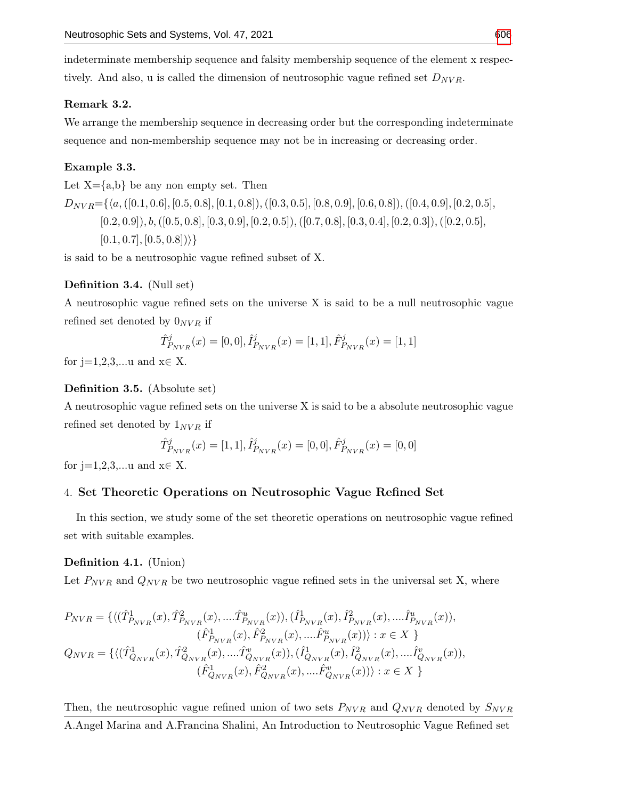indeterminate membership sequence and falsity membership sequence of the element x respectively. And also, u is called the dimension of neutrosophic vague refined set  $D_{NVR}$ .

## Remark 3.2.

We arrange the membership sequence in decreasing order but the corresponding indeterminate sequence and non-membership sequence may not be in increasing or decreasing order.

#### Example 3.3.

Let  $X = \{a,b\}$  be any non empty set. Then

 $D_{NVR}=\{\langle a, ([0.1, 0.6], [0.5, 0.8], [0.1, 0.8]), ([0.3, 0.5], [0.8, 0.9], [0.6, 0.8]), ([0.4, 0.9], [0.2, 0.5],$  $[0.2, 0.9]$ ,  $b, ([0.5, 0.8], [0.3, 0.9], [0.2, 0.5]), ([0.7, 0.8], [0.3, 0.4], [0.2, 0.3]), ([0.2, 0.5],$  $[0.1, 0.7], [0.5, 0.8])\}$ 

is said to be a neutrosophic vague refined subset of X.

#### Definition 3.4. (Null set)

A neutrosophic vague refined sets on the universe X is said to be a null neutrosophic vague refined set denoted by  $0_{NVR}$  if

$$
\hat{T}_{P_{NVR}}^j(x) = [0, 0], \hat{I}_{P_{NVR}}^j(x) = [1, 1], \hat{F}_{P_{NVR}}^j(x) = [1, 1]
$$

for j=1,2,3,...u and  $x \in X$ .

#### Definition 3.5. (Absolute set)

A neutrosophic vague refined sets on the universe X is said to be a absolute neutrosophic vague refined set denoted by  $1_{NVR}$  if

$$
\hat{T}_{P_{NVR}}^j(x) = [1, 1], \hat{I}_{P_{NVR}}^j(x) = [0, 0], \hat{F}_{P_{NVR}}^j(x) = [0, 0]
$$

for j=1,2,3,...u and  $x \in X$ .

## 4. Set Theoretic Operations on Neutrosophic Vague Refined Set

In this section, we study some of the set theoretic operations on neutrosophic vague refined set with suitable examples.

#### Definition 4.1. (Union)

Let  $P_{NVR}$  and  $Q_{NVR}$  be two neutrosophic vague refined sets in the universal set X, where

$$
\begin{split} P_{NVR} &= \{ \langle (\hat{T}^1_{P_{NVR}}(x), \hat{T}^2_{P_{NVR}}(x), .... \hat{T}^u_{P_{NVR}}(x)), (\hat{I}^1_{P_{NVR}}(x), \hat{I}^2_{P_{NVR}}(x), .... \hat{I}^u_{P_{NVR}}(x)), \\ & (\hat{F}^1_{P_{NVR}}(x), \hat{F}^2_{P_{NVR}}(x), .... \hat{F}^u_{P_{NVR}}(x))) : x \in X \} \\ Q_{NVR} &= \{ \langle (\hat{T}^1_{Q_{NVR}}(x), \hat{T}^2_{Q_{NVR}}(x), .... \hat{T}^v_{Q_{NVR}}(x)), (\hat{I}^1_{Q_{NVR}}(x), \hat{I}^2_{Q_{NVR}}(x), .... \hat{I}^v_{Q_{NVR}}(x)), \\ & (\hat{F}^1_{Q_{NVR}}(x), \hat{F}^2_{Q_{NVR}}(x), .... \hat{F}^v_{Q_{NVR}}(x))) : x \in X \} \end{split}
$$

Then, the neutrosophic vague refined union of two sets  $P_{NVR}$  and  $Q_{NVR}$  denoted by  $S_{NVR}$ A.Angel Marina and A.Francina Shalini, An Introduction to Neutrosophic Vague Refined set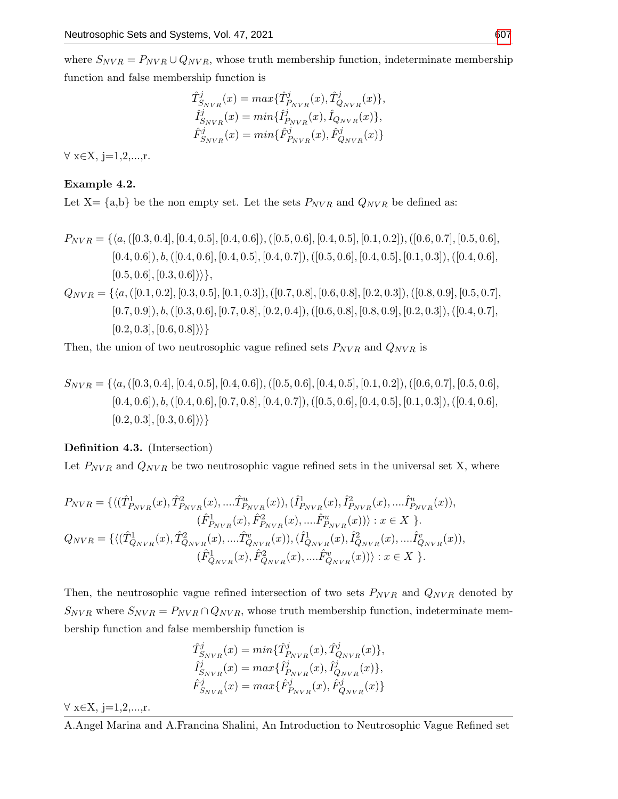where  $S_{NVR} = P_{NVR} \cup Q_{NVR}$ , whose truth membership function, indeterminate membership function and false membership function is

$$
\begin{aligned} \hat{T}^j_{S_{NVR}}(x) &= max\{\hat{T}^j_{P_{NVR}}(x), \hat{T}^j_{Q_{NVR}}(x)\}, \\ \hat{I}^j_{S_{NVR}}(x) &= min\{\hat{I}^j_{P_{NVR}}(x), \hat{I}_{Q_{NVR}}(x)\}, \\ \hat{F}^j_{S_{NVR}}(x) &= min\{\hat{F}^j_{P_{NVR}}(x), \hat{F}^j_{Q_{NVR}}(x)\} \end{aligned}
$$

 $\forall x \in X, i=1,2,...,r.$ 

## Example 4.2.

Let  $X = \{a,b\}$  be the non empty set. Let the sets  $P_{NVR}$  and  $Q_{NVR}$  be defined as:

$$
P_{NVR} = \{ \langle a, ([0.3, 0.4], [0.4, 0.5], [0.4, 0.6]), ([0.5, 0.6], [0.4, 0.5], [0.1, 0.2]), ([0.6, 0.7], [0.5, 0.6], [0.4, 0.6]), b, ([0.4, 0.6], [0.4, 0.5], [0.4, 0.7]), ([0.5, 0.6], [0.4, 0.5], [0.1, 0.3]), ([0.4, 0.6], [0.5, 0.6], [0.3, 0.6]) \rangle \},
$$
\n
$$
Q_{NVR} = \{ \langle a, ([0.1, 0.2], [0.3, 0.5], [0.1, 0.3]), ([0.7, 0.8], [0.6, 0.8], [0.2, 0.3]), ([0.8, 0.9], [0.5, 0.7], [0.7, 0.9]), b, ([0.3, 0.6], [0.7, 0.8], [0.2, 0.4]), ([0.6, 0.8], [0.8, 0.9], [0.2, 0.3]), ([0.4, 0.7], [0.2, 0.3], [0.6, 0.8]) \rangle \}
$$

Then, the union of two neutrosophic vague refined sets  $P_{NVR}$  and  $Q_{NVR}$  is

$$
S_{NVR} = \{ \langle a, ([0.3, 0.4], [0.4, 0.5], [0.4, 0.6]), ([0.5, 0.6], [0.4, 0.5], [0.1, 0.2]), ([0.6, 0.7], [0.5, 0.6], [0.4, 0.6]), b, ([0.4, 0.6], [0.7, 0.8], [0.4, 0.7]), ([0.5, 0.6], [0.4, 0.5], [0.1, 0.3]), ([0.4, 0.6], [0.2, 0.3], [0.3, 0.6]) \} \}
$$

## Definition 4.3. (Intersection)

Let  $P_{NVR}$  and  $Q_{NVR}$  be two neutrosophic vague refined sets in the universal set X, where

$$
P_{NVR} = \{ \langle (\hat{T}_{P_{NVR}}^1(x), \hat{T}_{P_{NVR}}^2(x), \dots, \hat{T}_{P_{NVR}}^u(x)), (\hat{I}_{P_{NVR}}^1(x), \hat{I}_{P_{NVR}}^2(x), \dots, \hat{I}_{P_{NVR}}^u(x)),
$$
  
\n
$$
(\hat{F}_{P_{NVR}}^1(x), \hat{F}_{P_{NVR}}^2(x), \dots, \hat{F}_{P_{NVR}}^u(x))) : x \in X \}.
$$
  
\n
$$
Q_{NVR} = \{ \langle (\hat{T}_{Q_{NVR}}^1(x), \hat{T}_{Q_{NVR}}^2(x), \dots, \hat{T}_{Q_{NVR}}^2(x)), (\hat{I}_{Q_{NVR}}^1(x), \hat{I}_{Q_{NVR}}^2(x), \dots, \hat{I}_{Q_{NVR}}^v(x)),
$$
  
\n
$$
(\hat{F}_{Q_{NVR}}^1(x), \hat{F}_{Q_{NVR}}^2(x), \dots, \hat{F}_{Q_{NVR}}^v(x))) : x \in X \}.
$$

Then, the neutrosophic vague refined intersection of two sets  $P_{NVR}$  and  $Q_{NVR}$  denoted by  $S_{NVR}$  where  $S_{NVR} = P_{NVR} \cap Q_{NVR}$ , whose truth membership function, indeterminate membership function and false membership function is

$$
\begin{aligned} \hat{T}^j_{S_{NVR}}(x) &= min\{\hat{T}^j_{P_{NVR}}(x),\hat{T}^j_{Q_{NVR}}(x)\},\\ \hat{I}^j_{S_{NVR}}(x) &= max\{\hat{I}^j_{P_{NVR}}(x),\hat{I}^j_{Q_{NVR}}(x)\},\\ \hat{F}^j_{S_{NVR}}(x) &= max\{\hat{F}^j_{P_{NVR}}(x),\hat{F}^j_{Q_{NVR}}(x)\} \end{aligned}
$$

∀ x∈X, j=1,2,...,r.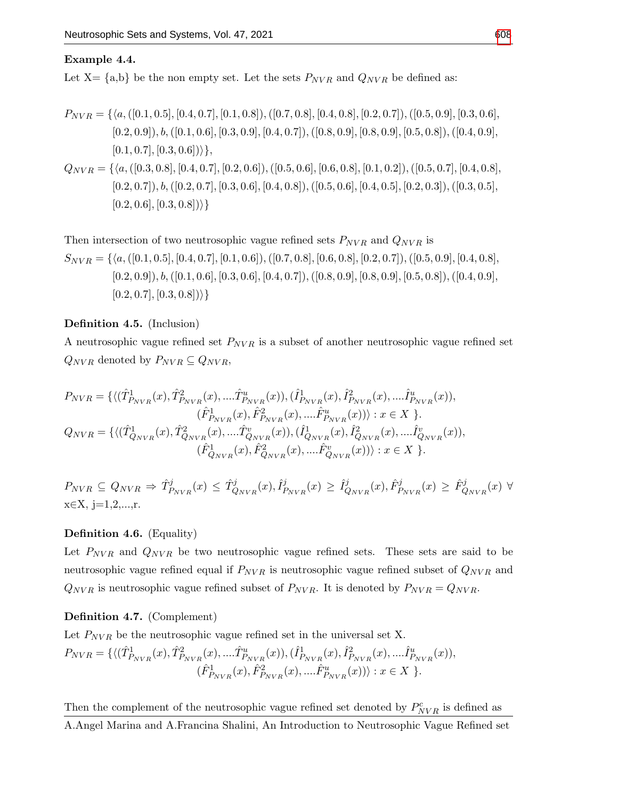#### Example 4.4.

Let  $X = \{a,b\}$  be the non empty set. Let the sets  $P_{NVR}$  and  $Q_{NVR}$  be defined as:

$$
P_{NVR} = \{ \langle a, ([0.1, 0.5], [0.4, 0.7], [0.1, 0.8]), ([0.7, 0.8], [0.4, 0.8], [0.2, 0.7]), ([0.5, 0.9], [0.3, 0.6], [0.2, 0.9]), b, ([0.1, 0.6], [0.3, 0.9], [0.4, 0.7]), ([0.8, 0.9], [0.8, 0.9], [0.5, 0.8]), ([0.4, 0.9], [0.1, 0.7], [0.3, 0.6]) \} \},
$$
  
\n
$$
Q_{NVR} = \{ \langle a, ([0.3, 0.8], [0.4, 0.7], [0.2, 0.6]), ([0.5, 0.6], [0.6, 0.8], [0.1, 0.2]), ([0.5, 0.7], [0.4, 0.8], [0.2, 0.7], [0.4, 0.8], [0.2, 0.7], [0.3, 0.5], [0.4, 0.8], [0.4, 0.5], [0.2, 0.3]), ([0.3, 0.5], [0.4, 0.6], [0.4, 0.6], [0.4, 0.6], [0.4, 0.5], [0.2, 0.3]), ([0.3, 0.5], [0.4, 0.6], [0.4, 0.6], [0.4, 0.6], [0.4, 0.6], [0.4, 0.6], [0.4, 0.6], [0.4, 0.6], [0.4, 0.6], [0.4, 0.6], [0.4, 0.6], [0.4, 0.6], [0.4, 0.6], [0.4, 0.6], [0.4, 0.6], [0.4, 0.6], [0.4, 0.6], [0.4, 0.6], [0.4, 0.6], [0.4, 0.6], [0.4, 0.6], [0.4, 0.6], [0.4, 0.6], [0.4, 0.6], [0.4, 0.6], [0.4, 0.6], [0.4, 0.6], [0.4, 0.6], [0.4, 0.6], [0.4, 0.6], [0.4, 0.6], [0.4, 0.6], [0.4, 0
$$

$$
[0.2, 0.6], [0.3, 0.8])\rangle\}
$$

Then intersection of two neutrosophic vague refined sets  $P_{NVR}$  and  $Q_{NVR}$  is  $S_{NVR} = \{ \langle a, ([0.1, 0.5], [0.4, 0.7], [0.1, 0.6]), ([0.7, 0.8], [0.6, 0.8], [0.2, 0.7]), ([0.5, 0.9], [0.4, 0.8],$  $[0.2, 0.9]$ ),  $b, ([0.1, 0.6], [0.3, 0.6], [0.4, 0.7]), ([0.8, 0.9], [0.8, 0.9], [0.5, 0.8]), ([0.4, 0.9],$  $[0.2, 0.7], [0.3, 0.8])\}$ 

Definition 4.5. (Inclusion)

A neutrosophic vague refined set  $P_{NVR}$  is a subset of another neutrosophic vague refined set  $Q_{NVR}$  denoted by  $P_{NVR} \subseteq Q_{NVR}$ ,

$$
P_{NVR} = \{ \langle (\hat{T}_{P_{NVR}}^1(x), \hat{T}_{P_{NVR}}^2(x), \dots, \hat{T}_{P_{NVR}}^u(x)), (\hat{I}_{P_{NVR}}^1(x), \hat{I}_{P_{NVR}}^2(x), \dots, \hat{I}_{P_{NVR}}^u(x)),
$$
  
\n
$$
(\hat{F}_{P_{NVR}}^1(x), \hat{F}_{P_{NVR}}^2(x), \dots, \hat{F}_{P_{NVR}}^u(x))) : x \in X \}.
$$
  
\n
$$
Q_{NVR} = \{ \langle (\hat{T}_{Q_{NVR}}^1(x), \hat{T}_{Q_{NVR}}^2(x), \dots, \hat{T}_{Q_{NVR}}^2(x)), (\hat{I}_{Q_{NVR}}^1(x), \hat{I}_{Q_{NVR}}^2(x), \dots, \hat{I}_{Q_{NVR}}^v(x)),
$$
  
\n
$$
(\hat{F}_{Q_{NVR}}^1(x), \hat{F}_{Q_{NVR}}^2(x), \dots, \hat{F}_{Q_{NVR}}^v(x))) : x \in X \}.
$$

 $P_{NVR} \subseteq Q_{NVR} \Rightarrow \hat{T}^j_{P_{NVR}}(x) \leq \hat{T}^j_{Q_{NVR}}(x), \hat{I}^j_{P}$  $\hat{I}_{P_{NVR}}^{j}(x) \geq \hat{I}_{Q}^{j}$  $\hat{Q}_{NVR}(x), \hat{F}_{P_{NVR}}^{j}(x) \geq \hat{F}_{Q_{NVR}}^{j}(x) \;\forall$  $x \in X$ , j=1,2,...,r.

## Definition 4.6. (Equality)

Let  $P_{NVR}$  and  $Q_{NVR}$  be two neutrosophic vague refined sets. These sets are said to be neutrosophic vague refined equal if  $P_{NVR}$  is neutrosophic vague refined subset of  $Q_{NVR}$  and  $Q_{NVR}$  is neutrosophic vague refined subset of  $P_{NVR}$ . It is denoted by  $P_{NVR} = Q_{NVR}$ .

#### Definition 4.7. (Complement)

Let  $P_{NVR}$  be the neutrosophic vague refined set in the universal set X.

$$
P_{NVR} = \{ \langle (\hat{T}_{P_{NVR}}^1(x), \hat{T}_{P_{NVR}}^2(x), \dots, \hat{T}_{P_{NVR}}^u(x)), (\hat{I}_{P_{NVR}}^1(x), \hat{I}_{P_{NVR}}^2(x), \dots, \hat{I}_{P_{NVR}}^u(x)), (\hat{F}_{P_{NVR}}^1(x), \hat{F}_{P_{NVR}}^2(x), \dots, \hat{F}_{P_{NVR}}^u(x)) \rangle : x \in X \}.
$$

Then the complement of the neutrosophic vague refined set denoted by  $P_{NVR}^c$  is defined as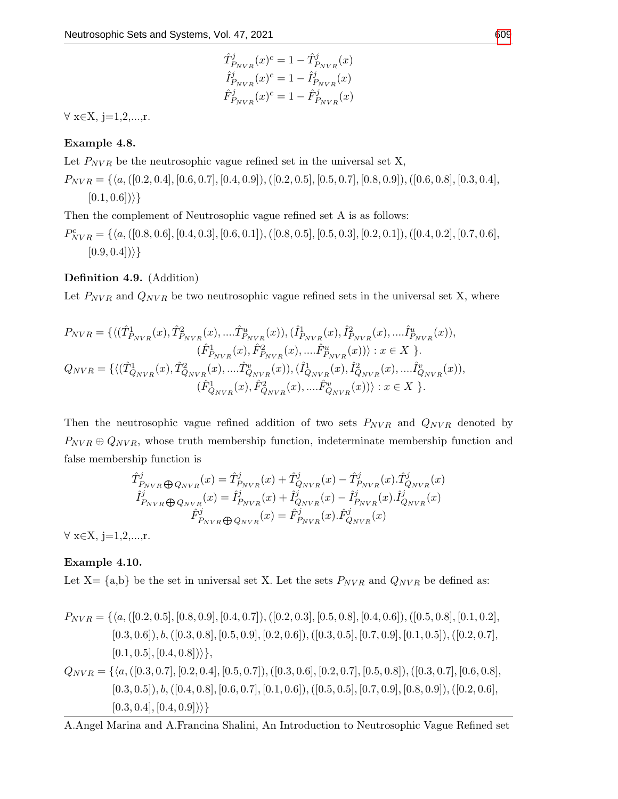$$
\begin{split} \hat{T}^j_{P_{NVR}}(x)^c &= 1 - \hat{T}^j_{P_{NVR}}(x) \\ \hat{I}^j_{P_{NVR}}(x)^c &= 1 - \hat{I}^j_{P_{NVR}}(x) \\ \hat{F}^j_{P_{NVR}}(x)^c &= 1 - \hat{F}^j_{P_{NVR}}(x) \end{split}
$$

 $\forall x \in X, j=1,2,...,r.$ 

## Example 4.8.

Let  $P_{NVR}$  be the neutrosophic vague refined set in the universal set X,

 $P_{NVR} = \{ \langle a, ([0.2, 0.4], [0.6, 0.7], [0.4, 0.9]), ([0.2, 0.5], [0.5, 0.7], [0.8, 0.9]), ([0.6, 0.8], [0.3, 0.4],$  $[0.1, 0.6])\rangle\}$ 

Then the complement of Neutrosophic vague refined set A is as follows:

 $P^c_{NVR} = \{\langle a, ([0.8, 0.6], [0.4, 0.3], [0.6, 0.1]), ([0.8, 0.5], [0.5, 0.3], [0.2, 0.1]), ([0.4, 0.2], [0.7, 0.6],$  $[0.9, 0.4]$ ) }

## Definition 4.9. (Addition)

Let  $P_{NVR}$  and  $Q_{NVR}$  be two neutrosophic vague refined sets in the universal set X, where

$$
P_{NVR} = \{ \langle (\hat{T}_{P_{NVR}}^1(x), \hat{T}_{P_{NVR}}^2(x), \dots, \hat{T}_{P_{NVR}}^u(x)), (\hat{I}_{P_{NVR}}^1(x), \hat{I}_{P_{NVR}}^2(x), \dots, \hat{I}_{P_{NVR}}^u(x)),
$$
  
\n
$$
(\hat{F}_{P_{NVR}}^1(x), \hat{F}_{P_{NVR}}^2(x), \dots, \hat{F}_{P_{NVR}}^u(x))) : x \in X \}.
$$
  
\n
$$
Q_{NVR} = \{ \langle (\hat{T}_{Q_{NVR}}^1(x), \hat{T}_{Q_{NVR}}^2(x), \dots, \hat{T}_{Q_{NVR}}^2(x)), (\hat{I}_{Q_{NVR}}^1(x), \hat{I}_{Q_{NVR}}^2(x), \dots, \hat{I}_{Q_{NVR}}^v(x)),
$$
  
\n
$$
(\hat{F}_{Q_{NVR}}^1(x), \hat{F}_{Q_{NVR}}^2(x), \dots, \hat{F}_{Q_{NVR}}^v(x))) : x \in X \}.
$$

Then the neutrosophic vague refined addition of two sets  $P_{NVR}$  and  $Q_{NVR}$  denoted by  $P_{NVR} \oplus Q_{NVR}$ , whose truth membership function, indeterminate membership function and false membership function is

$$
\hat{T}^{j}_{P_{NVR}} \oplus Q_{NVR}}(x) = \hat{T}^{j}_{P_{NVR}}(x) + \hat{T}^{j}_{Q_{NVR}}(x) - \hat{T}^{j}_{P_{NVR}}(x) \cdot \hat{T}^{j}_{Q_{NVR}}(x) \n\hat{T}^{j}_{P_{NVR}} \oplus Q_{NVR}}(x) = \hat{I}^{j}_{P_{NVR}}(x) + \hat{I}^{j}_{Q_{NVR}}(x) - \hat{I}^{j}_{P_{NVR}}(x) \cdot \hat{I}^{j}_{Q_{NVR}}(x) \n\hat{F}^{j}_{P_{NVR}} \oplus Q_{NVR}}(x) = \hat{F}^{j}_{P_{NVR}}(x) \cdot \hat{F}^{j}_{Q_{NVR}}(x)
$$

 $\forall x \in X, j=1,2,...,r.$ 

## Example 4.10.

Let X=  $\{a,b\}$  be the set in universal set X. Let the sets  $P_{NVR}$  and  $Q_{NVR}$  be defined as:

$$
P_{NVR} = \{ \langle a, ([0.2, 0.5], [0.8, 0.9], [0.4, 0.7]), ([0.2, 0.3], [0.5, 0.8], [0.4, 0.6]), ([0.5, 0.8], [0.1, 0.2], [0.3, 0.6]), b, ([0.3, 0.8], [0.5, 0.9], [0.2, 0.6]), ([0.3, 0.5], [0.7, 0.9], [0.1, 0.5]), ([0.2, 0.7], [0.1, 0.5], [0.4, 0.8]) \rangle \},
$$
\n
$$
Q_{NVR} = \{ \langle a, ([0.3, 0.7], [0.2, 0.4], [0.5, 0.7]), ([0.3, 0.6], [0.2, 0.7], [0.5, 0.8]), ([0.3, 0.7], [0.6, 0.8], [0.3, 0.5]), b, ([0.4, 0.8], [0.6, 0.7], [0.1, 0.6]), ([0.5, 0.5], [0.7, 0.9], [0.8, 0.9]), ([0.2, 0.6], [0.3, 0.4], [0.4, 0.9]) \rangle \}
$$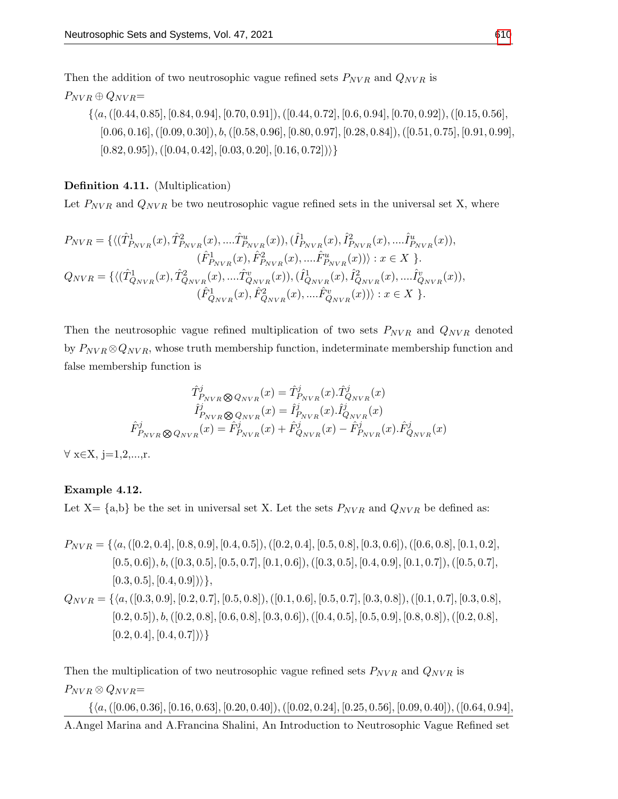Then the addition of two neutrosophic vague refined sets  $P_{NVR}$  and  $Q_{NVR}$  is

$$
P_{NVR} \oplus Q_{NVR} =
$$
\n
$$
\{\langle a, ([0.44, 0.85], [0.84, 0.94], [0.70, 0.91]), ([0.44, 0.72], [0.6, 0.94], [0.70, 0.92]), ([0.15, 0.56], [0.06, 0.16], ([0.09, 0.30]), b, ([0.58, 0.96], [0.80, 0.97], [0.28, 0.84]), ([0.51, 0.75], [0.91, 0.99], [0.82, 0.95]), ([0.04, 0.42], [0.03, 0.20], [0.16, 0.72])\}\}\
$$

Definition 4.11. (Multiplication)

Let  $P_{NVR}$  and  $Q_{NVR}$  be two neutrosophic vague refined sets in the universal set X, where

$$
P_{NVR} = \{ \langle (\hat{T}_{P_{NVR}}^1(x), \hat{T}_{P_{NVR}}^2(x), \dots \hat{T}_{P_{NVR}}^u(x)), (\hat{T}_{P_{NVR}}^1(x), \hat{T}_{P_{NVR}}^2(x), \dots \hat{T}_{P_{NVR}}^u(x)),
$$
  
\n
$$
(\hat{F}_{P_{NVR}}^1(x), \hat{F}_{P_{NVR}}^2(x), \dots \hat{F}_{P_{NVR}}^u(x))) : x \in X \}.
$$
  
\n
$$
Q_{NVR} = \{ \langle (\hat{T}_{Q_{NVR}}^1(x), \hat{T}_{Q_{NVR}}^2(x), \dots \hat{T}_{Q_{NVR}}^v(x)), (\hat{T}_{Q_{NVR}}^1(x), \hat{T}_{Q_{NVR}}^2(x), \dots \hat{T}_{Q_{NVR}}^v(x)),
$$
  
\n
$$
(\hat{F}_{Q_{NVR}}^1(x), \hat{F}_{Q_{NVR}}^2(x), \dots \hat{F}_{Q_{NVR}}^v(x))) : x \in X \}.
$$

Then the neutrosophic vague refined multiplication of two sets  $P_{NVR}$  and  $Q_{NVR}$  denoted by  $P_{NVR} \otimes Q_{NVR}$ , whose truth membership function, indeterminate membership function and false membership function is

$$
\hat{T}^{j}_{P_{NVR}} \otimes Q_{NVR}(x) = \hat{T}^{j}_{P_{NVR}}(x).\hat{T}^{j}_{Q_{NVR}}(x) \n\hat{I}^{j}_{P_{NVR}} \otimes Q_{NVR}(x) = \hat{I}^{j}_{P_{NVR}}(x).\hat{I}^{j}_{Q_{NVR}}(x) \n\hat{F}^{j}_{P_{NVR}} \otimes Q_{NVR}(x) = \hat{F}^{j}_{P_{NVR}}(x) + \hat{F}^{j}_{Q_{NVR}}(x) - \hat{F}^{j}_{P_{NVR}}(x).\hat{F}^{j}_{Q_{NVR}}(x)
$$

 $\forall x \in X, j=1,2,...,r.$ 

## Example 4.12.

Let X=  $\{a,b\}$  be the set in universal set X. Let the sets  $P_{NVR}$  and  $Q_{NVR}$  be defined as:

$$
P_{NVR} = \{ \langle a, ([0.2, 0.4], [0.8, 0.9], [0.4, 0.5]), ([0.2, 0.4], [0.5, 0.8], [0.3, 0.6]), ([0.6, 0.8], [0.1, 0.2], [0.5, 0.6]), b, ([0.3, 0.5], [0.5, 0.7], [0.1, 0.6]), ([0.3, 0.5], [0.4, 0.9], [0.1, 0.7]), ([0.5, 0.7], [0.3, 0.5], [0.4, 0.9]) \} \},
$$
\n
$$
Q_{NVR} = \{ \langle a, ([0.3, 0.9], [0.2, 0.7], [0.5, 0.8]), ([0.1, 0.6], [0.5, 0.7], [0.3, 0.8]), ([0.1, 0.7], [0.3, 0.8], [0.2, 0.5]), b, ([0.2, 0.8], [0.6, 0.8], [0.3, 0.6]), ([0.4, 0.5], [0.5, 0.9], [0.8, 0.8]), ([0.2, 0.8], [0.2, 0.4], [0.4, 0.7]) \} \}
$$

Then the multiplication of two neutrosophic vague refined sets  $P_{NVR}$  and  $Q_{NVR}$  is  $P_{NVR} \otimes Q_{NVR} =$ 

 $\{\langle a,([0.06, 0.36], [0.16, 0.63], [0.20, 0.40]), ([0.02, 0.24], [0.25, 0.56], [0.09, 0.40]), ([0.64, 0.94],$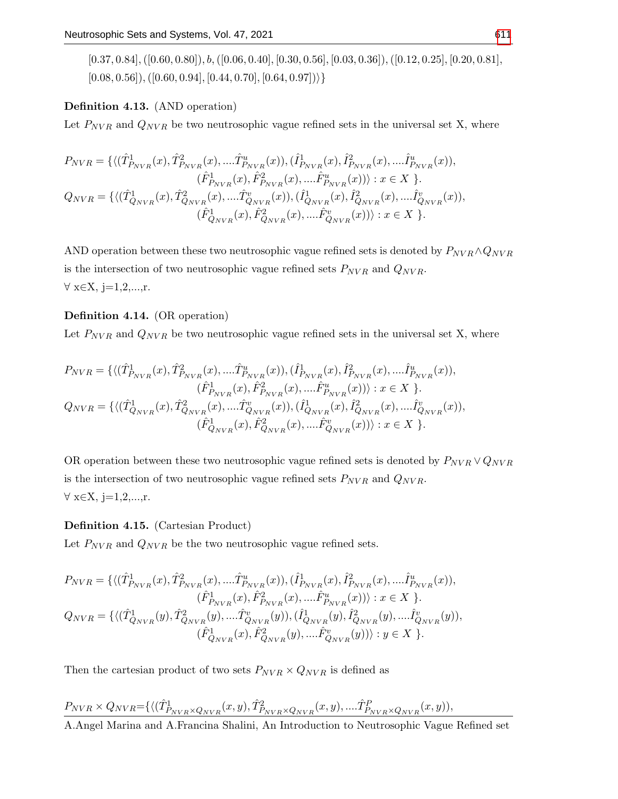$[0.37, 0.84]$ ,  $([0.60, 0.80])$ ,  $b$ ,  $([0.06, 0.40]$ ,  $[0.30, 0.56]$ ,  $[0.03, 0.36]$ ),  $([0.12, 0.25]$ ,  $[0.20, 0.81]$ ,  $[0.08, 0.56]$ ,  $([0.60, 0.94], [0.44, 0.70], [0.64, 0.97])$ 

## Definition 4.13. (AND operation)

Let  $P_{NVR}$  and  $Q_{NVR}$  be two neutrosophic vague refined sets in the universal set X, where

$$
P_{NVR} = \{ \langle (\hat{T}_{P_{NVR}}^1(x), \hat{T}_{P_{NVR}}^2(x), \dots, \hat{T}_{P_{NVR}}^u(x)), (\hat{I}_{P_{NVR}}^1(x), \hat{I}_{P_{NVR}}^2(x), \dots, \hat{I}_{P_{NVR}}^u(x)),
$$
  
\n
$$
(\hat{F}_{P_{NVR}}^1(x), \hat{F}_{P_{NVR}}^2(x), \dots, \hat{F}_{P_{NVR}}^u(x))) : x \in X \}.
$$
  
\n
$$
Q_{NVR} = \{ \langle (\hat{T}_{Q_{NVR}}^1(x), \hat{T}_{Q_{NVR}}^2(x), \dots, \hat{T}_{Q_{NVR}}^v(x)), (\hat{I}_{Q_{NVR}}^1(x), \hat{I}_{Q_{NVR}}^2(x), \dots, \hat{I}_{Q_{NVR}}^v(x)),
$$
  
\n
$$
(\hat{F}_{Q_{NVR}}^1(x), \hat{F}_{Q_{NVR}}^2(x), \dots, \hat{F}_{Q_{NVR}}^v(x))) : x \in X \}.
$$

AND operation between these two neutrosophic vague refined sets is denoted by  $P_{NVR} \wedge Q_{NVR}$ is the intersection of two neutrosophic vague refined sets  $P_{NVR}$  and  $Q_{NVR}$ .  $\forall x \in X, j=1,2,...,r.$ 

## Definition 4.14. (OR operation)

Let  $P_{NVR}$  and  $Q_{NVR}$  be two neutrosophic vague refined sets in the universal set X, where

$$
P_{NVR} = \{ \langle (\hat{T}_{P_{NVR}}^1(x), \hat{T}_{P_{NVR}}^2(x), \dots, \hat{T}_{P_{NVR}}^u(x)), (\hat{I}_{P_{NVR}}^1(x), \hat{I}_{P_{NVR}}^2(x), \dots, \hat{I}_{P_{NVR}}^u(x)),
$$
  
\n
$$
(\hat{F}_{P_{NVR}}^1(x), \hat{F}_{P_{NVR}}^2(x), \dots, \hat{F}_{P_{NVR}}^u(x))) : x \in X \}.
$$
  
\n
$$
Q_{NVR} = \{ \langle (\hat{T}_{Q_{NVR}}^1(x), \hat{T}_{Q_{NVR}}^2(x), \dots, \hat{T}_{Q_{NVR}}^2(x)), (\hat{I}_{Q_{NVR}}^1(x), \hat{I}_{Q_{NVR}}^2(x), \dots, \hat{I}_{Q_{NVR}}^v(x)),
$$
  
\n
$$
(\hat{F}_{Q_{NVR}}^1(x), \hat{F}_{Q_{NVR}}^2(x), \dots, \hat{F}_{Q_{NVR}}^v(x))) : x \in X \}.
$$

OR operation between these two neutrosophic vague refined sets is denoted by  $P_{NVR} \vee Q_{NVR}$ is the intersection of two neutrosophic vague refined sets  $P_{NVR}$  and  $Q_{NVR}$ . ∀ x∈X, j=1,2,...,r.

#### Definition 4.15. (Cartesian Product)

Let  $P_{NVR}$  and  $Q_{NVR}$  be the two neutrosophic vague refined sets.

$$
\begin{split} P_{NVR} &= \{ \langle (\hat{T}^1_{P_{NVR}}(x), \hat{T}^2_{P_{NVR}}(x), \dots \hat{T}^u_{P_{NVR}}(x)), (\hat{I}^1_{P_{NVR}}(x), \hat{I}^2_{P_{NVR}}(x), \dots \hat{I}^u_{P_{NVR}}(x)), \\ & \quad (\hat{F}^1_{P_{NVR}}(x), \hat{F}^2_{P_{NVR}}(x), \dots \hat{F}^u_{P_{NVR}}(x)) \rangle : x \in X \ \}. \\ Q_{NVR} &= \{ \langle (\hat{T}^1_{Q_{NVR}}(y), \hat{T}^2_{Q_{NVR}}(y), \dots \hat{T}^v_{Q_{NVR}}(y)), (\hat{I}^1_{Q_{NVR}}(y), \hat{I}^2_{Q_{NVR}}(y), \dots \hat{I}^v_{Q_{NVR}}(y)) \rangle \\ & \quad (\hat{F}^1_{Q_{NVR}}(x), \hat{F}^2_{Q_{NVR}}(y), \dots \hat{F}^v_{Q_{NVR}}(y)) \rangle : y \in X \ \}. \end{split}
$$

Then the cartesian product of two sets  $P_{NVR} \times Q_{NVR}$  is defined as

# $P_{NVR} \times Q_{NVR} = \{ \langle (\hat{T}_{P_{NVR} \times Q_{NVR}}^1(x, y), \hat{T}_{P_{NVR} \times Q_{NVR}}^2(x, y), \dots \hat{T}_{P_{NVR} \times Q_{NVR}}^P(x, y) \rangle,$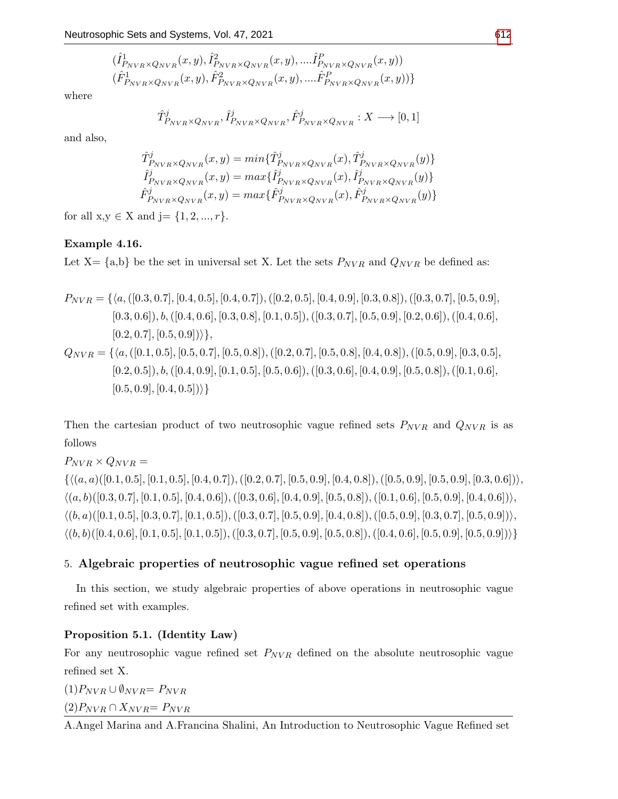$$
(\hat{I}_{P_{NVR}\times Q_{NVR}}^{1}(x,y),\hat{I}_{P_{NVR}\times Q_{NVR}}^{2}(x,y),....\hat{I}_{P_{NVR}\times Q_{NVR}}^{P}(x,y))\\(\hat{F}_{P_{NVR}\times Q_{NVR}}^{1}(x,y),\hat{F}_{P_{NVR}\times Q_{NVR}}^{2}(x,y),....\hat{F}_{P_{NVR}\times Q_{NVR}}^{P}(x,y))\}
$$

where

$$
\hat{T}_{P_{NVR} \times Q_{NVR}}^{j}, \hat{I}_{P_{NVR} \times Q_{NVR}}^{j}, \hat{F}_{P_{NVR} \times Q_{NVR}}^{j} : X \longrightarrow [0, 1]
$$

and also,

$$
\hat{T}_{P_{NVR} \times Q_{NVR}}^{j}(x, y) = min\{\hat{T}_{P_{NVR} \times Q_{NVR}}^{j}(x), \hat{T}_{P_{NVR} \times Q_{NVR}}^{j}(y)\}\n\hat{I}_{P_{NVR} \times Q_{NVR}}^{j}(x, y) = max\{\hat{I}_{P_{NVR} \times Q_{NVR}}^{j}(x), \hat{I}_{P_{NVR} \times Q_{NVR}}^{j}(y)\}\n\hat{F}_{P_{NVR} \times Q_{NVR}}^{j}(x, y) = max\{\hat{F}_{P_{NVR} \times Q_{NVR}}^{j}(x), \hat{F}_{P_{NVR} \times Q_{NVR}}^{j}(y)\}\n\}
$$

for all  $x,y \in X$  and  $j = \{1, 2, ..., r\}.$ 

## Example 4.16.

Let X=  $\{a,b\}$  be the set in universal set X. Let the sets  $P_{NVR}$  and  $Q_{NVR}$  be defined as:

$$
P_{NVR} = \{ \langle a, ([0.3, 0.7], [0.4, 0.5], [0.4, 0.7]), ([0.2, 0.5], [0.4, 0.9], [0.3, 0.8]), ([0.3, 0.7], [0.5, 0.9], [0.3, 0.6]), b, ([0.4, 0.6], [0.3, 0.8], [0.1, 0.5]), ([0.3, 0.7], [0.5, 0.9], [0.2, 0.6]), ([0.4, 0.6], [0.2, 0.7], [0.5, 0.9]) \} \},
$$
\n
$$
Q_{NVR} = \{ \langle a, ([0.1, 0.5], [0.5, 0.7], [0.5, 0.8]), ([0.2, 0.7], [0.5, 0.8], [0.4, 0.8], [0.4, 0.9], [0.3, 0.5], [0.2, 0.5]), b, ([0.4, 0.9], [0.1, 0.5], [0.5, 0.6]), ([0.3, 0.6], [0.4, 0.9], [0.5, 0.8]), ([0.1, 0.6], [0.5, 0.9], [0.4, 0.5]) \} \}
$$

Then the cartesian product of two neutrosophic vague refined sets  $P_{NVR}$  and  $Q_{NVR}$  is as follows

 $P_{NVR} \times Q_{NVR} =$  $\{\langle (a, a)([0.1, 0.5], [0.1, 0.5], [0.4, 0.7]), ([0.2, 0.7], [0.5, 0.9], [0.4, 0.8]), ([0.5, 0.9], [0.5, 0.9], [0.3, 0.6]) \rangle,$  $\langle (a, b) ([0.3, 0.7], [0.1, 0.5], [0.4, 0.6]), ([0.3, 0.6], [0.4, 0.9], [0.5, 0.8]), ([0.1, 0.6], [0.5, 0.9], [0.4, 0.6]) \rangle,$  $\langle (b, a) ([0.1, 0.5], [0.3, 0.7], [0.1, 0.5]), ([0.3, 0.7], [0.5, 0.9], [0.4, 0.8]), ([0.5, 0.9], [0.3, 0.7], [0.5, 0.9]) \rangle,$  $\langle (b, b) ([0.4, 0.6], [0.1, 0.5], [0.1, 0.5]), ([0.3, 0.7], [0.5, 0.9], [0.5, 0.8]), ([0.4, 0.6], [0.5, 0.9], [0.5, 0.9]) \rangle \}$ 

## 5. Algebraic properties of neutrosophic vague refined set operations

In this section, we study algebraic properties of above operations in neutrosophic vague refined set with examples.

## Proposition 5.1. (Identity Law)

For any neutrosophic vague refined set  $P_{NVR}$  defined on the absolute neutrosophic vague refined set X.

 $(1)P_{NVR} \cup \emptyset_{NVR} = P_{NVR}$  $(2)P_{NVR} \cap X_{NVR} = P_{NVR}$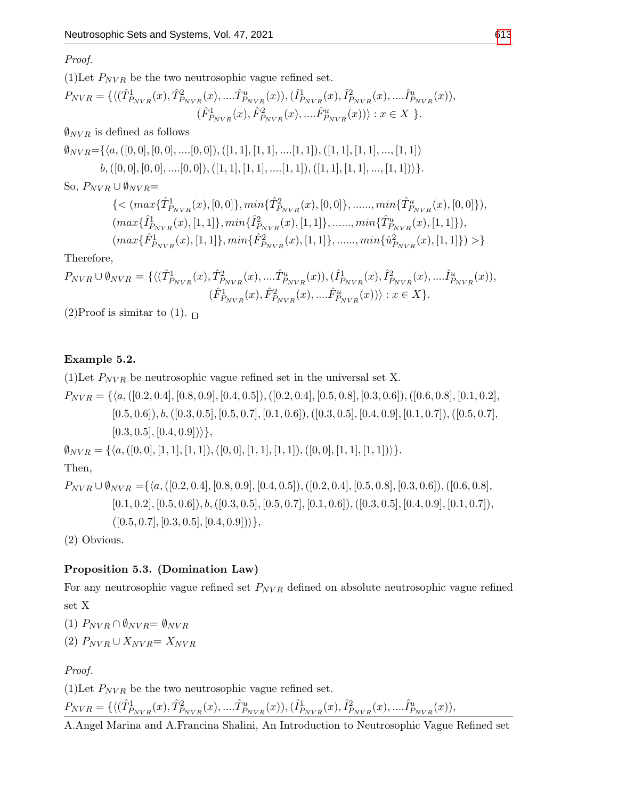Proof.

(1)Let  $P_{NVR}$  be the two neutrosophic vague refined set.

$$
P_{NVR} = \{ \langle (\hat{T}_{P_{NVR}}^1(x), \hat{T}_{P_{NVR}}^2(x), \dots, \hat{T}_{P_{NVR}}^u(x)), (\hat{I}_{P_{NVR}}^1(x), \hat{I}_{P_{NVR}}^2(x), \dots, \hat{I}_{P_{NVR}}^u(x)), (\hat{F}_{P_{NVR}}^1(x), \hat{F}_{P_{NVR}}^2(x), \dots, \hat{F}_{P_{NVR}}^u(x)) \rangle : x \in X \}.
$$

 $\emptyset_{NVR}$  is defined as follows

 $\emptyset_{NVR}=\{\langle a,([0, 0], [0, 0], ..., [0, 0]), ([1, 1], [1, 1], ..., [1, 1]), ([1, 1], [1, 1], ..., [1, 1]\rangle\}$  $b,([0, 0], [0, 0], \ldots [0, 0]), ([1, 1], [1, 1], \ldots [1, 1]), ([1, 1], [1, 1], \ldots, [1, 1]))\}.$ 

So,  $P_{NVR} \cup \emptyset_{NVR} =$ 

$$
\label{eq:3} \begin{split} &\{< (max\{\hat{T}^1_{P_{NVR}}(x),[0,0]\},min\{\hat{T}^2_{P_{NVR}}(x),[0,0]\},......,min\{\hat{T}^u_{P_{NVR}}(x),[0,0]\}),\\ & (max\{\hat{I}^1_{P_{NVR}}(x),[1,1]\},min\{\hat{I}^2_{P_{NVR}}(x),[1,1]\},......,min\{\hat{T}^u_{P_{NVR}}(x),[1,1]\}),\\ & (max\{\hat{F}^1_{P_{NVR}}(x),[1,1]\},min\{\hat{F}^2_{P_{NVR}}(x),[1,1]\},......,min\{\hat{u}^2_{P_{NVR}}(x),[1,1]\})>\} \end{split}
$$

Therefore,

$$
P_{NVR} \cup \emptyset_{NVR} = \{ \langle (\hat{T}^{1}_{P_{NVR}}(x), \hat{T}^{2}_{P_{NVR}}(x), ....\hat{T}^{u}_{P_{NVR}}(x)), (\hat{I}^{1}_{P_{NVR}}(x), \hat{I}^{2}_{P_{NVR}}(x), ....\hat{I}^{u}_{P_{NVR}}(x)), \\ (\hat{F}^{1}_{P_{NVR}}(x), \hat{F}^{2}_{P_{NVR}}(x), ....\hat{F}^{u}_{P_{NVR}}(x)) \rangle : x \in X \}.
$$

(2)Proof is simitar to (1).  $\Box$ 

## Example 5.2.

(1) Let  $P_{NVR}$  be neutrosophic vague refined set in the universal set X.

 $P_{NVR} = \{\langle a, ([0.2, 0.4], [0.8, 0.9], [0.4, 0.5]), ([0.2, 0.4], [0.5, 0.8], [0.3, 0.6]), ([0.6, 0.8], [0.1, 0.2],$  $[0.5, 0.6]$ ,  $b, (0.3, 0.5]$ ,  $[0.5, 0.7]$ ,  $[0.1, 0.6]$ ,  $([0.3, 0.5]$ ,  $[0.4, 0.9]$ ,  $[0.1, 0.7]$ ,  $([0.5, 0.7]$ ,  $[0.3, 0.5], [0.4, 0.9])\},$  $\emptyset_{NVR} = \{\langle a, ([0, 0], [1, 1], [1, 1]), ([0, 0], [1, 1], [1, 1]), ([0, 0], [1, 1], [1, 1])\rangle\}.$ Then,  $P_{NVR} \cup \emptyset_{NVR} = {\alpha, (0.2, 0.4], [0.8, 0.9], [0.4, 0.5]), ([0.2, 0.4], [0.5, 0.8], [0.3, 0.6]), ([0.6, 0.8],}$ 

 $[0.1, 0.2], [0.5, 0.6]), b, ([0.3, 0.5], [0.5, 0.7], [0.1, 0.6]), ([0.3, 0.5], [0.4, 0.9], [0.1, 0.7]),$  $([0.5, 0.7], [0.3, 0.5], [0.4, 0.9])\},$ 

(2) Obvious.

## Proposition 5.3. (Domination Law)

For any neutrosophic vague refined set  $P_{NVR}$  defined on absolute neutrosophic vague refined set X

(1)  $P_{NVR} \cap \emptyset_{NVR} = \emptyset_{NVR}$ 

(2)  $P_{NVR} \cup X_{NVR} = X_{NVR}$ 

Proof.

(1) Let  $P_{NVR}$  be the two neutrosophic vague refined set.

$$
P_{NVR}=\{\langle (\hat{T}^1_{P_{NVR}}(x), \hat{T}^2_{P_{NVR}}(x),....\hat{T}^u_{P_{NVR}}(x)),(\hat{I}^1_{P_{NVR}}(x),\hat{I}^2_{P_{NVR}}(x),....\hat{I}^u_{P_{NVR}}(x)),
$$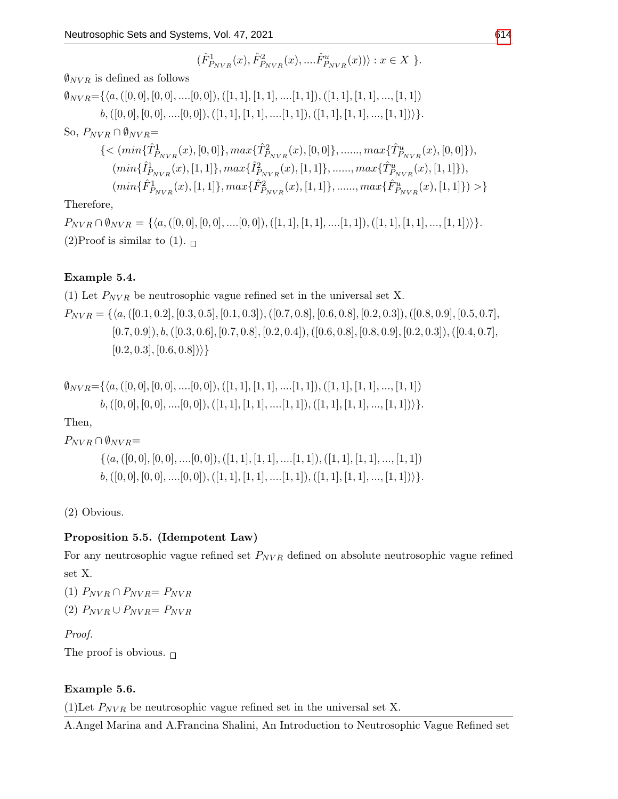$$
(\hat{F}^1_{P_{NVR}}(x),\hat{F}^2_{P_{NVR}}(x),....\hat{F}^u_{P_{NVR}}(x))\rangle : x\in X\ \}.
$$

 $\mathcal{O}_{NVR}$  is defined as follows

$$
\emptyset_{NVR} = \{ \langle a, ([0, 0], [0, 0], \ldots, [0, 0]), ([1, 1], [1, 1], \ldots, [1, 1]), ([1, 1], [1, 1], \ldots, [1, 1]) \}
$$
\n
$$
b, ([0, 0], [0, 0], \ldots, [0, 0]), ([1, 1], [1, 1], \ldots, [1, 1]), ([1, 1], [1, 1], \ldots, [1, 1]) \}.
$$
\nSo,  $P_{NVR} \cap \emptyset_{NVR} = \{ \langle \min\{\hat{T}_{P_{NVR}}^1(x), [0, 0]\}, \max\{\hat{T}_{P_{NVR}}^2(x), [0, 0]\}, \ldots, \max\{\hat{T}_{P_{NVR}}^u(x), [0, 0]\} \rangle,$ \n
$$
\langle \min\{\hat{H}_{NVR}^1(x), [1, 1]\}, \max\{\hat{I}_{P_{NVR}}^2(x), [1, 1]\}, \ldots, \max\{\hat{T}_{P_{NVR}}^u(x), [1, 1]\} \rangle,
$$
\n
$$
\langle \min\{\hat{F}_{P_{NVR}}^1(x), [1, 1]\}, \max\{\hat{F}_{P_{NVR}}^2(x), [1, 1]\}, \ldots, \max\{\hat{F}_{P_{NVR}}^u(x), [1, 1]\} \rangle \} \}
$$

Therefore,

 $P_{NVR} \cap \emptyset_{NVR} = \{\langle a, ([0,0], [0,0],....[0,0]), ([1,1], [1,1],....[1,1]), ([1,1], [1,1],..., [1,1])\rangle\}.$ (2)Proof is similar to (1).  $\Box$ 

# Example 5.4.

(1) Let  $P_{NVR}$  be neutrosophic vague refined set in the universal set X.

 $P_{NVR} = \{ \langle a, ([0.1, 0.2], [0.3, 0.5], [0.1, 0.3]), ([0.7, 0.8], [0.6, 0.8], [0.2, 0.3]), ([0.8, 0.9], [0.5, 0.7],$  $[0.7, 0.9]$ ,  $b, ([0.3, 0.6], [0.7, 0.8], [0.2, 0.4]), ([0.6, 0.8], [0.8, 0.9], [0.2, 0.3]), ([0.4, 0.7],$  $[0.2, 0.3], [0.6, 0.8])\}$ 

$$
\emptyset_{NVR} = \{ \langle a, ([0,0], [0,0],....[0,0]), ([1,1], [1,1],....[1,1]), ([1,1], [1,1],..., [1,1]) \rangle \}, \newline b, ([0,0], [0,0],....[0,0]), ([1,1], [1,1],....[1,1]), ([1,1], [1,1],..., [1,1]) \rangle \}.
$$

Then,

$$
P_{NVR} \cap \emptyset_{NVR} = \{ \langle a, ([0,0], [0,0], \dots [0,0]), ([1,1], [1,1], \dots [1,1]), ([1,1], [1,1], \dots, [1,1]) \rangle \}, ([0,0], [0,0], \dots [0,0]), ([1,1], [1,1], \dots, [1,1]), ([1,1], [1,1], \dots, [1,1]) \}.
$$

(2) Obvious.

# Proposition 5.5. (Idempotent Law)

For any neutrosophic vague refined set  $P_{NVR}$  defined on absolute neutrosophic vague refined set X.

(1)  $P_{NVR} \cap P_{NVR} = P_{NVR}$ (2)  $P_{NVR} \cup P_{NVR} = P_{NVR}$ 

Proof.

The proof is obvious.  $\Box$ 

# Example 5.6.

(1)Let  $P_{NVR}$  be neutrosophic vague refined set in the universal set X.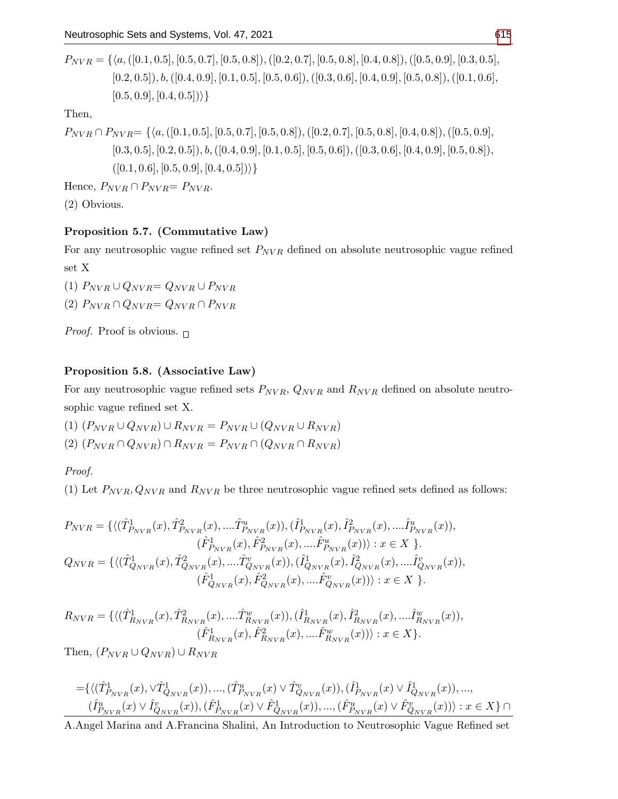$P_{NVR} = \{\langle a, ([0.1, 0.5], [0.5, 0.7], [0.5, 0.8]), ([0.2, 0.7], [0.5, 0.8], [0.4, 0.8]), ([0.5, 0.9], [0.3, 0.5],$  $[0.2, 0.5]$ ),  $b, ([0.4, 0.9], [0.1, 0.5], [0.5, 0.6]), ([0.3, 0.6], [0.4, 0.9], [0.5, 0.8]), ([0.1, 0.6],$  $[0.5, 0.9], [0.4, 0.5])\}$ 

Then,

 $P_{NVR} \cap P_{NVR} = \{ \langle a, ([0.1, 0.5], [0.5, 0.7], [0.5, 0.8]), ([0.2, 0.7], [0.5, 0.8], [0.4, 0.8]), ([0.5, 0.9],$  $[0.3, 0.5], [0.2, 0.5]), b, ([0.4, 0.9], [0.1, 0.5], [0.5, 0.6]), ([0.3, 0.6], [0.4, 0.9], [0.5, 0.8]),$  $([0.1, 0.6], [0.5, 0.9], [0.4, 0.5])\}$ 

Hence,  $P_{NVR} \cap P_{NVR} = P_{NVR}$ .

(2) Obvious.

## Proposition 5.7. (Commutative Law)

For any neutrosophic vague refined set  $P_{NVR}$  defined on absolute neutrosophic vague refined set X

(1)  $P_{NVR} \cup Q_{NVR} = Q_{NVR} \cup P_{NVR}$ (2)  $P_{NVR} \cap Q_{NVR} = Q_{NVR} \cap P_{NVR}$ 

*Proof.* Proof is obvious.  $\Box$ 

## Proposition 5.8. (Associative Law)

For any neutrosophic vague refined sets  $P_{NVR}$ ,  $Q_{NVR}$  and  $R_{NVR}$  defined on absolute neutrosophic vague refined set X.

(1)  $(P_{NVR} \cup Q_{NVR}) \cup R_{NVR} = P_{NVR} \cup (Q_{NVR} \cup R_{NVR})$  $(2)$   $(P_{NVR} \cap Q_{NVR}) \cap R_{NVR} = P_{NVR} \cap (Q_{NVR} \cap R_{NVR})$ 

Proof.

(1) Let  $P_{NVR}$ ,  $Q_{NVR}$  and  $R_{NVR}$  be three neutrosophic vague refined sets defined as follows:

$$
P_{NVR} = \{ \langle (\hat{T}_{P_{NVR}}^1(x), \hat{T}_{P_{NVR}}^2(x), \dots, \hat{T}_{P_{NVR}}^u(x)), (\hat{I}_{P_{NVR}}^1(x), \hat{I}_{P_{NVR}}^2(x), \dots, \hat{I}_{P_{NVR}}^u(x)),
$$
  
\n
$$
(\hat{F}_{P_{NVR}}^1(x), \hat{F}_{P_{NVR}}^2(x), \dots, \hat{F}_{P_{NVR}}^u(x))) : x \in X \}.
$$
  
\n
$$
Q_{NVR} = \{ \langle (\hat{T}_{Q_{NVR}}^1(x), \hat{T}_{Q_{NVR}}^2(x), \dots, \hat{T}_{Q_{NVR}}^v(x)), (\hat{I}_{Q_{NVR}}^1(x), \hat{I}_{Q_{NVR}}^2(x), \dots, \hat{I}_{Q_{NVR}}^v(x)),
$$
  
\n
$$
(\hat{F}_{Q_{NVR}}^1(x), \hat{F}_{Q_{NVR}}^2(x), \dots, \hat{F}_{Q_{NVR}}^v(x))) : x \in X \}.
$$

$$
R_{NVR} = \{ \langle (\hat{T}_{R_{NVR}}^1(x), \hat{T}_{R_{NVR}}^2(x), \dots, \hat{T}_{R_{NVR}}^w(x)), (\hat{T}_{R_{NVR}}^1(x), \hat{T}_{R_{NVR}}^2(x), \dots, \hat{T}_{R_{NVR}}^w(x)), (\hat{F}_{R_{NVR}}^1(x), \hat{F}_{R_{NVR}}^2(x), \dots, \hat{F}_{R_{NVR}}^w(x)) \rangle : x \in X \}.
$$

Then,  $(P_{NVR} \cup Q_{NVR}) \cup R_{NVR}$ 

$$
\begin{split} =&\{\langle (\hat{T}^1_{P_{NVR}}(x),\vee\hat{T}^1_{Q_{NVR}}(x)),...,(\hat{T}^u_{P_{NVR}}(x)\vee\hat{T}^v_{Q_{NVR}}(x)),(\hat{I}^1_{P_{NVR}}(x)\vee\hat{I}^1_{Q_{NVR}}(x)),...,\newline &(\hat{I}^u_{P_{NVR}}(x)\vee\hat{I}^v_{Q_{NVR}}(x)),(\hat{F}^1_{P_{NVR}}(x)\vee\hat{F}^1_{Q_{NVR}}(x)),...,(\hat{F}^u_{P_{NVR}}(x)\vee\hat{F}^v_{Q_{NVR}}(x))\rangle:x\in X\}\cap \end{split}
$$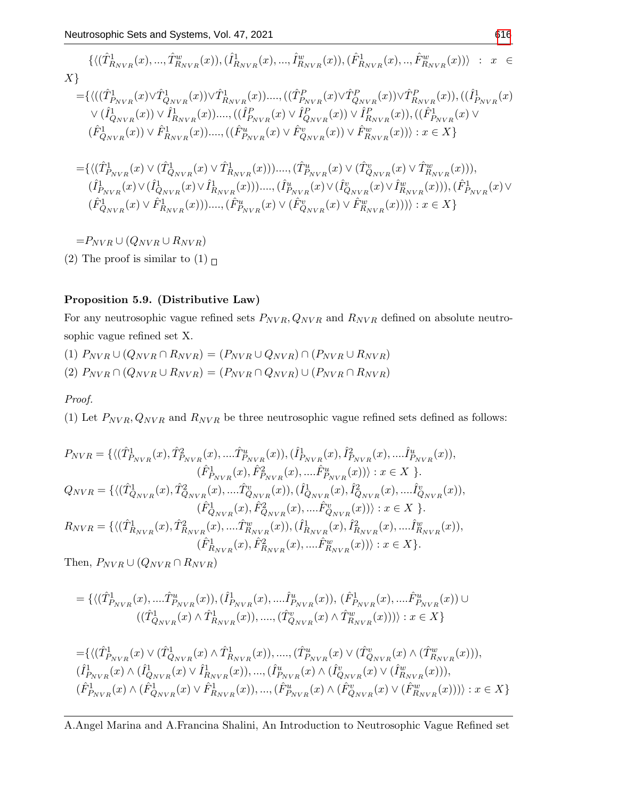$$
\{\langle (\hat{T}_{R_{NVR}}^{1}(x),...,\hat{T}_{R_{NVR}}^{w}(x)),(\hat{I}_{R_{NVR}}^{1}(x),...,\hat{I}_{R_{NVR}}^{w}(x)),(\hat{F}_{R_{NVR}}^{1}(x),...,\hat{F}_{R_{NVR}}^{w}(x))\rangle \; : \; x \in X\}
$$
\n
$$
= \{\langle ((\hat{T}_{P_{NVR}}^{1}(x)\vee\hat{T}_{Q_{NVR}}^{1}(x))\vee\hat{T}_{R_{NVR}}^{1}(x))....,((\hat{T}_{P_{NVR}}^{P}(x)\vee\hat{T}_{Q_{NVR}}^{P}(x))\vee\hat{T}_{R_{NVR}}^{P}(x)),((\hat{I}_{P_{NVR}}^{1}(x)\vee\hat{T}_{N_{NVR}}^{P}(x))\vee(\hat{I}_{Q_{NVR}}^{1}(x))\vee\hat{I}_{R_{NVR}}^{P}(x))\rangle \; ; \; x \in X\}
$$
\n
$$
\langle (\hat{F}_{Q_{NVR}}^{1}(x))\vee\hat{F}_{R_{NVR}}^{1}(x))....,((\hat{F}_{P_{NVR}}^{w}(x)\vee\hat{F}_{Q_{NVR}}^{v}(x))\vee\hat{F}_{R_{NVR}}^{w}(x))\rangle : x \in X\}
$$
\n
$$
= \{\langle (\hat{T}_{P_{NVR}}^{1}(x)\vee(\hat{T}_{Q_{NVR}}^{1}(x)\vee\hat{T}_{R_{NVR}}^{1}(x))\cdot...\cdot(\hat{T}_{P_{NVR}}^{w}(x)\vee(\hat{T}_{Q_{NVR}}^{v}(x)\vee\hat{T}_{R_{NVR}}^{w}(x))))\cdot,\; (\hat{T}_{N_{NVR}}^{1}(x)\vee(\hat{T}_{Q_{NVR}}^{1}(x)\vee\hat{T}_{R_{NVR}}^{w}(x))))\cdot,\; (\hat{F}_{P_{NVR}}^{1}(x)\vee(\hat{T}_{Q_{NVR}}^{1}(x)\vee\hat{T}_{R_{NVR}}^{w}(x))))\cdot : x \in X\}
$$
\n
$$
= P_{NVR} \cup (Q_{NVR} \cup R_{NVR})
$$

(2) The proof is similar to (1)  $\Box$ 

## Proposition 5.9. (Distributive Law)

For any neutrosophic vague refined sets  $P_{NVR}$ ,  $Q_{NVR}$  and  $R_{NVR}$  defined on absolute neutrosophic vague refined set X.

(1)  $P_{NVR} \cup (Q_{NVR} \cap R_{NVR}) = (P_{NVR} \cup Q_{NVR}) \cap (P_{NVR} \cup R_{NVR})$ (2)  $P_{NVR} \cap (Q_{NVR} \cup R_{NVR}) = (P_{NVR} \cap Q_{NVR}) \cup (P_{NVR} \cap R_{NVR})$ 

## Proof.

(1) Let  $P_{NVR}, Q_{NVR}$  and  $R_{NVR}$  be three neutrosophic vague refined sets defined as follows:

$$
\begin{split} P_{NVR} &= \{ \langle (\hat{T}^1_{P_{NVR}}(x), \hat{T}^2_{P_{NVR}}(x),.... \hat{T}^u_{P_{NVR}}(x)), (\hat{I}^1_{P_{NVR}}(x), \hat{I}^2_{P_{NVR}}(x),.... \hat{I}^u_{P_{NVR}}(x)), \\ & \quad (\hat{F}^1_{P_{NVR}}(x), \hat{F}^2_{P_{NVR}}(x),.... \hat{F}^u_{P_{NVR}}(x))) : x \in X \ \}. \\ Q_{NVR} &= \{ \langle (\hat{T}^1_{Q_{NVR}}(x), \hat{T}^2_{Q_{NVR}}(x),.... \hat{T}^v_{Q_{NVR}}(x)), (\hat{I}^1_{Q_{NVR}}(x), \hat{I}^2_{Q_{NVR}}(x),.... \hat{I}^v_{Q_{NVR}}(x)), \\ & \quad (\hat{F}^1_{Q_{NVR}}(x), \hat{F}^2_{Q_{NVR}}(x),.... \hat{F}^v_{Q_{NVR}}(x))) : x \in X \ \}. \\ R_{NVR} &= \{ \langle (\hat{T}^1_{R_{NVR}}(x), \hat{T}^2_{R_{NVR}}(x),.... \hat{T}^w_{R_{NVR}}(x)), (\hat{I}^1_{R_{NVR}}(x), \hat{I}^2_{R_{NVR}}(x),.... \hat{I}^w_{R_{NVR}}(x)), \\ & \quad (\hat{F}^1_{R_{NVR}}(x), \hat{F}^2_{R_{NVR}}(x),.... \hat{F}^w_{R_{NVR}}(x))) : x \in X \} . \end{split}
$$

Then,  $P_{NVR} \cup (Q_{NVR} \cap R_{NVR})$ 

$$
=\{\langle (\hat{T}^1_{P_{NVR}}(x),... \hat{T}^u_{P_{NVR}}(x)),(\hat{I}^1_{P_{NVR}}(x),... \hat{I}^u_{P_{NVR}}(x)),\, (\hat{F}^1_{P_{NVR}}(x),... \hat{F}^u_{P_{NVR}}(x))\cup \\ ((\hat{T}^1_{Q_{NVR}}(x)\wedge \hat{T}^1_{R_{NVR}}(x)),...,(\hat{T}^v_{Q_{NVR}}(x)\wedge \hat{T}^w_{R_{NVR}}(x)))\rangle : x\in X\}
$$

$$
=\{\langle (\hat{T}^{1}_{P_{NVR}}(x) \vee (\hat{T}^{1}_{Q_{NVR}}(x) \wedge \hat{T}^{1}_{R_{NVR}}(x)),...., (\hat{T}^{u}_{P_{NVR}}(x) \vee (\hat{T}^{v}_{Q_{NVR}}(x) \wedge (\hat{T}^{w}_{R_{NVR}}(x))),\n(\hat{I}^{1}_{P_{NVR}}(x) \wedge (\hat{I}^{1}_{Q_{NVR}}(x) \vee \hat{I}^{1}_{R_{NVR}}(x)),..., (\hat{I}^{u}_{P_{NVR}}(x) \wedge (\hat{I}^{v}_{Q_{NVR}}(x) \vee (\hat{I}^{w}_{R_{NVR}}(x))),\n(\hat{F}^{1}_{P_{NVR}}(x) \wedge (\hat{F}^{1}_{Q_{NVR}}(x) \vee \hat{F}^{1}_{R_{NVR}}(x)),..., (\hat{F}^{u}_{P_{NVR}}(x) \wedge (\hat{F}^{v}_{Q_{NVR}}(x) \vee (\hat{F}^{w}_{R_{NVR}}(x))))\rangle : x \in X\}
$$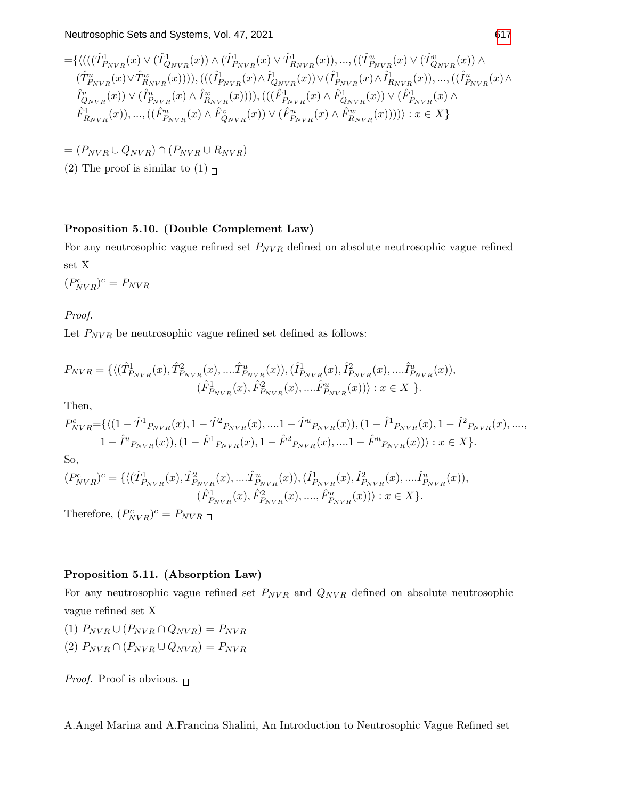$$
\begin{split} =&\{ \langle (( (\hat{T}^1_{P_{NVR}}(x) \vee (\hat{T}^1_{Q_{NVR}}(x) )\wedge (\hat{T}^1_{P_{NVR}}(x) \vee \hat{T}^1_{R_{NVR}}(x)),...,( (\hat{T}^u_{P_{NVR}}(x) \vee (\hat{T}^v_{Q_{NVR}}(x) )\wedge \\ (\hat{T}^u_{P_{NVR}}(x) \vee \hat{T}^w_{R_{NVR}}(x)))) , (( (\hat{I}^1_{P_{NVR}}(x) \wedge \hat{I}^1_{Q_{NVR}}(x) ) \vee (\hat{I}^1_{P_{NVR}}(x) \wedge \hat{I}^1_{R_{NVR}}(x)),...,( (\hat{I}^u_{P_{NVR}}(x) \wedge \\ \hat{I}^v_{Q_{NVR}}(x) ) \vee (\hat{I}^u_{P_{NVR}}(x) \wedge \hat{I}^w_{R_{NVR}}(x)))) ), (( (\hat{F}^1_{P_{NVR}}(x) \wedge \hat{F}^1_{Q_{NVR}}(x) ) \vee (\hat{F}^1_{P_{NVR}}(x) \wedge \\ \hat{F}^1_{R_{NVR}}(x)),...,( (\hat{F}^u_{P_{NVR}}(x) \wedge \hat{F}^v_{Q_{NVR}}(x) ) \vee (\hat{F}^u_{P_{NVR}}(x) \wedge \hat{F}^w_{R_{NVR}}(x)))) ) : x \in X \} \end{split}
$$

$$
= (P_{NVR} \cup Q_{NVR}) \cap (P_{NVR} \cup R_{NVR})
$$

(2) The proof is similar to (1)  $\Box$ 

## Proposition 5.10. (Double Complement Law)

For any neutrosophic vague refined set  $P_{NVR}$  defined on absolute neutrosophic vague refined set X

 $(P_{NVR}^c)^c = P_{NVR}$ 

Proof.

Let  $P_{NVR}$  be neutrosophic vague refined set defined as follows:

$$
P_{NVR} = \{ \langle (\hat{T}_{P_{NVR}}^1(x), \hat{T}_{P_{NVR}}^2(x), \dots \hat{T}_{P_{NVR}}^u(x)), (\hat{I}_{P_{NVR}}^1(x), \hat{I}_{P_{NVR}}^2(x), \dots \hat{I}_{P_{NVR}}^u(x)), \\ (\hat{F}_{P_{NVR}}^1(x), \hat{F}_{P_{NVR}}^2(x), \dots \hat{F}_{P_{NVR}}^u(x)) \rangle : x \in X \}.
$$

Then,

$$
P_{NVR}^{c} = \{ \langle (1 - \hat{T}^{1}P_{NVR}(x), 1 - \hat{T}^{2}P_{NVR}(x), ....1 - \hat{T}^{u}P_{NVR}(x)), (1 - \hat{I}^{1}P_{NVR}(x), 1 - \hat{I}^{2}P_{NVR}(x), ...., 1 - \hat{I}^{u}P_{NVR}(x)), (1 - \hat{F}^{1}P_{NVR}(x), 1 - \hat{F}^{2}P_{NVR}(x), ....1 - \hat{F}^{u}P_{NVR}(x)) \rangle : x \in X \}.
$$

So,

$$
(P_{NVR}^{c})^{c} = \{ \langle (\hat{T}_{P_{NVR}}^{1}(x), \hat{T}_{P_{NVR}}^{2}(x), \dots \hat{T}_{P_{NVR}}^{u}(x)), (\hat{T}_{P_{NVR}}^{1}(x), \hat{T}_{P_{NVR}}^{2}(x), \dots \hat{T}_{P_{NVR}}^{u}(x)), \\ (\hat{F}_{P_{NVR}}^{1}(x), \hat{F}_{P_{NVR}}^{2}(x), \dots, \hat{F}_{P_{NVR}}^{u}(x))) : x \in X \}.
$$

Therefore,  $(P_{NVR}^c)^c = P_{NVR}$ 

## Proposition 5.11. (Absorption Law)

For any neutrosophic vague refined set  $P_{NVR}$  and  $Q_{NVR}$  defined on absolute neutrosophic vague refined set X

- (1)  $P_{NVR} \cup (P_{NVR} \cap Q_{NVR}) = P_{NVR}$
- (2)  $P_{NVR} \cap (P_{NVR} \cup Q_{NVR}) = P_{NVR}$

*Proof.* Proof is obvious.  $\Box$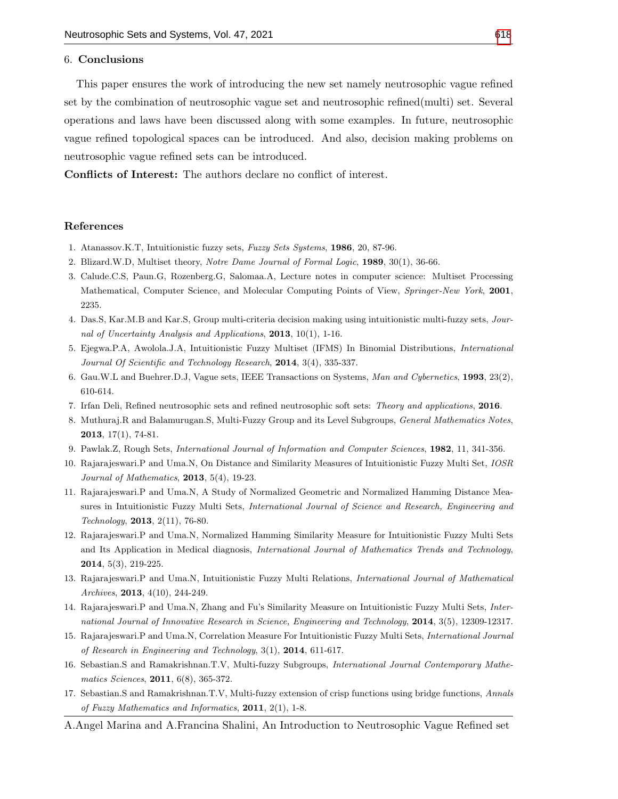#### 6. Conclusions

This paper ensures the work of introducing the new set namely neutrosophic vague refined set by the combination of neutrosophic vague set and neutrosophic refined(multi) set. Several operations and laws have been discussed along with some examples. In future, neutrosophic vague refined topological spaces can be introduced. And also, decision making problems on neutrosophic vague refined sets can be introduced.

Conflicts of Interest: The authors declare no conflict of interest.

#### References

- 1. Atanassov.K.T, Intuitionistic fuzzy sets, Fuzzy Sets Systems, 1986, 20, 87-96.
- 2. Blizard.W.D, Multiset theory, Notre Dame Journal of Formal Logic, 1989, 30(1), 36-66.
- 3. Calude.C.S, Paun.G, Rozenberg.G, Salomaa.A, Lecture notes in computer science: Multiset Processing Mathematical, Computer Science, and Molecular Computing Points of View, Springer-New York, 2001, 2235.
- 4. Das.S, Kar.M.B and Kar.S, Group multi-criteria decision making using intuitionistic multi-fuzzy sets, Journal of Uncertainty Analysis and Applications, 2013, 10(1), 1-16.
- 5. Ejegwa.P.A, Awolola.J.A, Intuitionistic Fuzzy Multiset (IFMS) In Binomial Distributions, International Journal Of Scientific and Technology Research, 2014, 3(4), 335-337.
- 6. Gau.W.L and Buehrer.D.J, Vague sets, IEEE Transactions on Systems, Man and Cybernetics, 1993, 23(2), 610-614.
- 7. Irfan Deli, Refined neutrosophic sets and refined neutrosophic soft sets: Theory and applications, 2016.
- 8. Muthuraj.R and Balamurugan.S, Multi-Fuzzy Group and its Level Subgroups, General Mathematics Notes, 2013, 17(1), 74-81.
- 9. Pawlak.Z, Rough Sets, International Journal of Information and Computer Sciences, 1982, 11, 341-356.
- 10. Rajarajeswari.P and Uma.N, On Distance and Similarity Measures of Intuitionistic Fuzzy Multi Set, IOSR Journal of Mathematics, 2013, 5(4), 19-23.
- 11. Rajarajeswari.P and Uma.N, A Study of Normalized Geometric and Normalized Hamming Distance Measures in Intuitionistic Fuzzy Multi Sets, International Journal of Science and Research, Engineering and Technology, 2013, 2(11), 76-80.
- 12. Rajarajeswari.P and Uma.N, Normalized Hamming Similarity Measure for Intuitionistic Fuzzy Multi Sets and Its Application in Medical diagnosis, International Journal of Mathematics Trends and Technology, 2014, 5(3), 219-225.
- 13. Rajarajeswari.P and Uma.N, Intuitionistic Fuzzy Multi Relations, International Journal of Mathematical Archives, 2013, 4(10), 244-249.
- 14. Rajarajeswari.P and Uma.N, Zhang and Fu's Similarity Measure on Intuitionistic Fuzzy Multi Sets, International Journal of Innovative Research in Science, Engineering and Technology, 2014, 3(5), 12309-12317.
- 15. Rajarajeswari.P and Uma.N, Correlation Measure For Intuitionistic Fuzzy Multi Sets, International Journal of Research in Engineering and Technology, 3(1), 2014, 611-617.
- 16. Sebastian.S and Ramakrishnan.T.V, Multi-fuzzy Subgroups, International Journal Contemporary Mathematics Sciences, 2011, 6(8), 365-372.
- 17. Sebastian.S and Ramakrishnan.T.V, Multi-fuzzy extension of crisp functions using bridge functions, Annals of Fuzzy Mathematics and Informatics,  $2011$ ,  $2(1)$ , 1-8.
- A.Angel Marina and A.Francina Shalini, An Introduction to Neutrosophic Vague Refined set